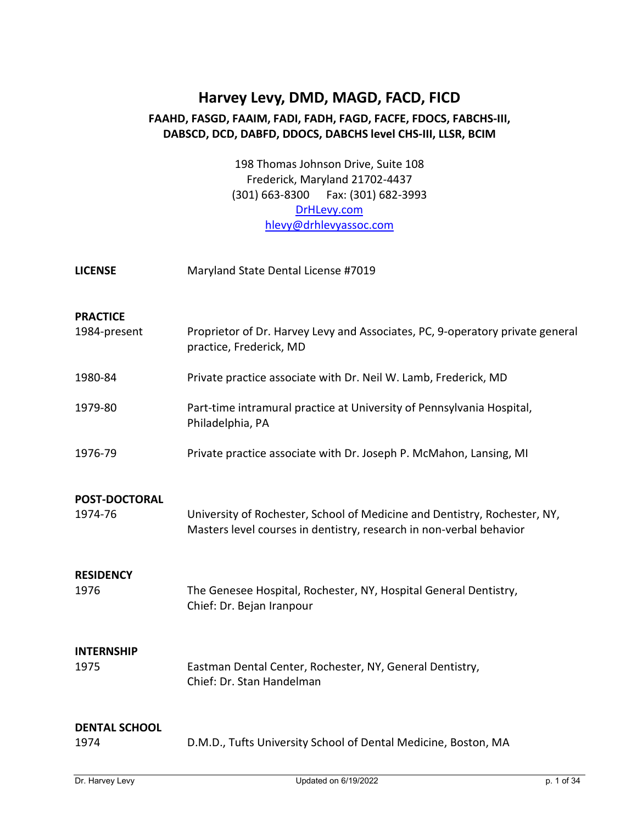# **Harvey Levy, DMD, MAGD, FACD, FICD FAAHD, FASGD, FAAIM, FADI, FADH, FAGD, FACFE, FDOCS, FABCHS-III, DABSCD, DCD, DABFD, DDOCS, DABCHS level CHS-III, LLSR, BCIM**

198 Thomas Johnson Drive, Suite 108 Frederick, Maryland 21702-4437 (301) 663-8300 Fax: (301) 682-3993 [DrHLevy.com](http://www.drhlevy.com/) [hlevy@drhlevyassoc.com](mailto:hlevy@drhlevyassoc.com)

| <b>LICENSE</b>       | Maryland State Dental License #7019                                                                                                              |
|----------------------|--------------------------------------------------------------------------------------------------------------------------------------------------|
|                      |                                                                                                                                                  |
| <b>PRACTICE</b>      |                                                                                                                                                  |
| 1984-present         | Proprietor of Dr. Harvey Levy and Associates, PC, 9-operatory private general<br>practice, Frederick, MD                                         |
| 1980-84              | Private practice associate with Dr. Neil W. Lamb, Frederick, MD                                                                                  |
| 1979-80              | Part-time intramural practice at University of Pennsylvania Hospital,<br>Philadelphia, PA                                                        |
| 1976-79              | Private practice associate with Dr. Joseph P. McMahon, Lansing, MI                                                                               |
| <b>POST-DOCTORAL</b> |                                                                                                                                                  |
| 1974-76              | University of Rochester, School of Medicine and Dentistry, Rochester, NY,<br>Masters level courses in dentistry, research in non-verbal behavior |
| <b>RESIDENCY</b>     |                                                                                                                                                  |
| 1976                 | The Genesee Hospital, Rochester, NY, Hospital General Dentistry,<br>Chief: Dr. Bejan Iranpour                                                    |
| <b>INTERNSHIP</b>    |                                                                                                                                                  |
| 1975                 | Eastman Dental Center, Rochester, NY, General Dentistry,<br>Chief: Dr. Stan Handelman                                                            |
| <b>DENTAL SCHOOL</b> |                                                                                                                                                  |
| 1974                 | D.M.D., Tufts University School of Dental Medicine, Boston, MA                                                                                   |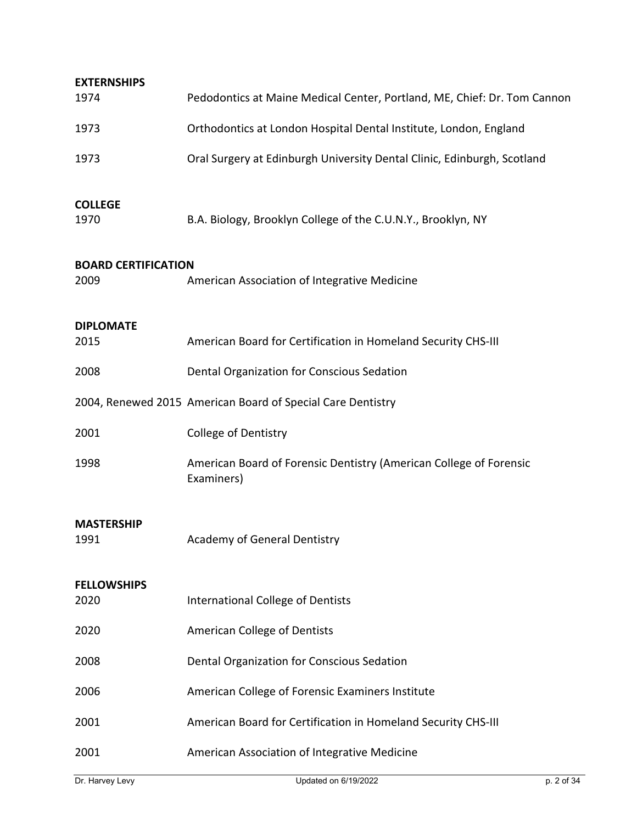| <b>EXTERNSHIPS</b>                 |                                                                                  |
|------------------------------------|----------------------------------------------------------------------------------|
| 1974                               | Pedodontics at Maine Medical Center, Portland, ME, Chief: Dr. Tom Cannon         |
| 1973                               | Orthodontics at London Hospital Dental Institute, London, England                |
| 1973                               | Oral Surgery at Edinburgh University Dental Clinic, Edinburgh, Scotland          |
| <b>COLLEGE</b><br>1970             | B.A. Biology, Brooklyn College of the C.U.N.Y., Brooklyn, NY                     |
| <b>BOARD CERTIFICATION</b><br>2009 | American Association of Integrative Medicine                                     |
| <b>DIPLOMATE</b><br>2015           | American Board for Certification in Homeland Security CHS-III                    |
| 2008                               | Dental Organization for Conscious Sedation                                       |
|                                    | 2004, Renewed 2015 American Board of Special Care Dentistry                      |
| 2001                               | <b>College of Dentistry</b>                                                      |
| 1998                               | American Board of Forensic Dentistry (American College of Forensic<br>Examiners) |
| <b>MASTERSHIP</b><br>1991          | Academy of General Dentistry                                                     |
| <b>FELLOWSHIPS</b><br>2020         | <b>International College of Dentists</b>                                         |
| 2020                               | American College of Dentists                                                     |
| 2008                               | Dental Organization for Conscious Sedation                                       |
| 2006                               | American College of Forensic Examiners Institute                                 |
| 2001                               | American Board for Certification in Homeland Security CHS-III                    |
| 2001                               | American Association of Integrative Medicine                                     |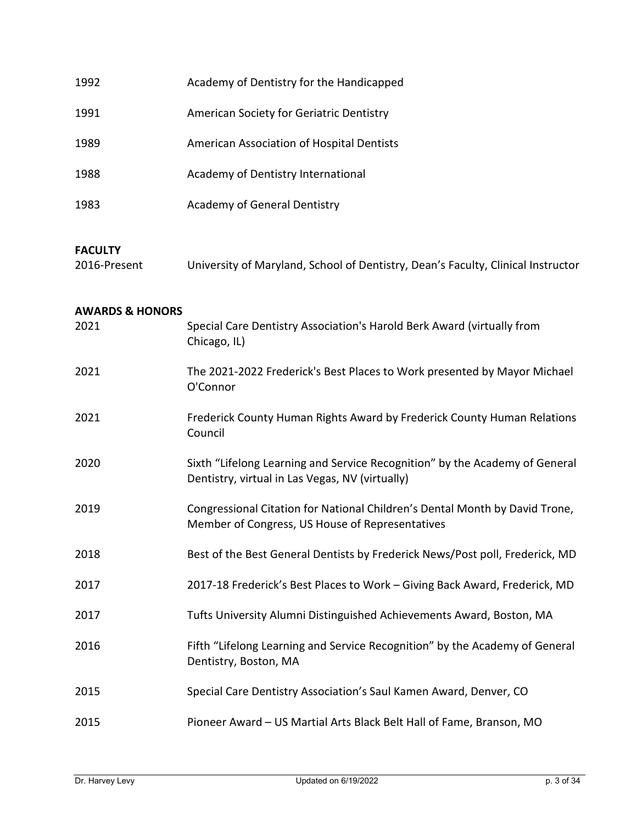| 1992                           | Academy of Dentistry for the Handicapped                                                                                       |
|--------------------------------|--------------------------------------------------------------------------------------------------------------------------------|
| 1991                           | American Society for Geriatric Dentistry                                                                                       |
| 1989                           | American Association of Hospital Dentists                                                                                      |
| 1988                           | Academy of Dentistry International                                                                                             |
| 1983                           | Academy of General Dentistry                                                                                                   |
| <b>FACULTY</b><br>2016-Present | University of Maryland, School of Dentistry, Dean's Faculty, Clinical Instructor                                               |
| <b>AWARDS &amp; HONORS</b>     |                                                                                                                                |
| 2021                           | Special Care Dentistry Association's Harold Berk Award (virtually from<br>Chicago, IL)                                         |
| 2021                           | The 2021-2022 Frederick's Best Places to Work presented by Mayor Michael<br>O'Connor                                           |
| 2021                           | Frederick County Human Rights Award by Frederick County Human Relations<br>Council                                             |
| 2020                           | Sixth "Lifelong Learning and Service Recognition" by the Academy of General<br>Dentistry, virtual in Las Vegas, NV (virtually) |
| 2019                           | Congressional Citation for National Children's Dental Month by David Trone,<br>Member of Congress, US House of Representatives |
| 2018                           | Best of the Best General Dentists by Frederick News/Post poll, Frederick, MD                                                   |
| 2017                           | 2017-18 Frederick's Best Places to Work - Giving Back Award, Frederick, MD                                                     |
| 2017                           | Tufts University Alumni Distinguished Achievements Award, Boston, MA                                                           |
| 2016                           | Fifth "Lifelong Learning and Service Recognition" by the Academy of General<br>Dentistry, Boston, MA                           |
| 2015                           | Special Care Dentistry Association's Saul Kamen Award, Denver, CO                                                              |
| 2015                           | Pioneer Award - US Martial Arts Black Belt Hall of Fame, Branson, MO                                                           |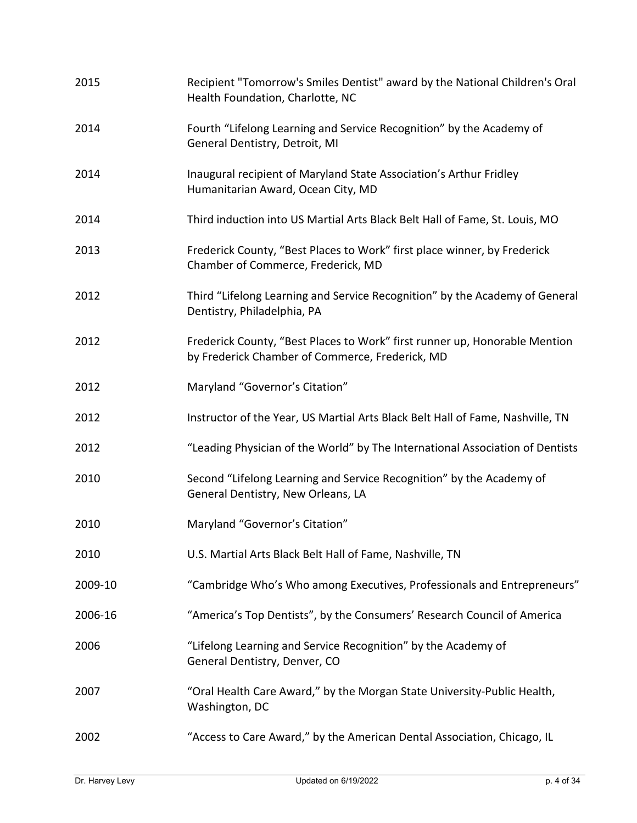| 2015    | Recipient "Tomorrow's Smiles Dentist" award by the National Children's Oral<br>Health Foundation, Charlotte, NC               |
|---------|-------------------------------------------------------------------------------------------------------------------------------|
| 2014    | Fourth "Lifelong Learning and Service Recognition" by the Academy of<br>General Dentistry, Detroit, MI                        |
| 2014    | Inaugural recipient of Maryland State Association's Arthur Fridley<br>Humanitarian Award, Ocean City, MD                      |
| 2014    | Third induction into US Martial Arts Black Belt Hall of Fame, St. Louis, MO                                                   |
| 2013    | Frederick County, "Best Places to Work" first place winner, by Frederick<br>Chamber of Commerce, Frederick, MD                |
| 2012    | Third "Lifelong Learning and Service Recognition" by the Academy of General<br>Dentistry, Philadelphia, PA                    |
| 2012    | Frederick County, "Best Places to Work" first runner up, Honorable Mention<br>by Frederick Chamber of Commerce, Frederick, MD |
| 2012    | Maryland "Governor's Citation"                                                                                                |
| 2012    | Instructor of the Year, US Martial Arts Black Belt Hall of Fame, Nashville, TN                                                |
| 2012    | "Leading Physician of the World" by The International Association of Dentists                                                 |
| 2010    | Second "Lifelong Learning and Service Recognition" by the Academy of<br>General Dentistry, New Orleans, LA                    |
| 2010    | Maryland "Governor's Citation"                                                                                                |
| 2010    | U.S. Martial Arts Black Belt Hall of Fame, Nashville, TN                                                                      |
| 2009-10 | "Cambridge Who's Who among Executives, Professionals and Entrepreneurs"                                                       |
| 2006-16 | "America's Top Dentists", by the Consumers' Research Council of America                                                       |
| 2006    | "Lifelong Learning and Service Recognition" by the Academy of<br>General Dentistry, Denver, CO                                |
| 2007    | "Oral Health Care Award," by the Morgan State University-Public Health,<br>Washington, DC                                     |
| 2002    | "Access to Care Award," by the American Dental Association, Chicago, IL                                                       |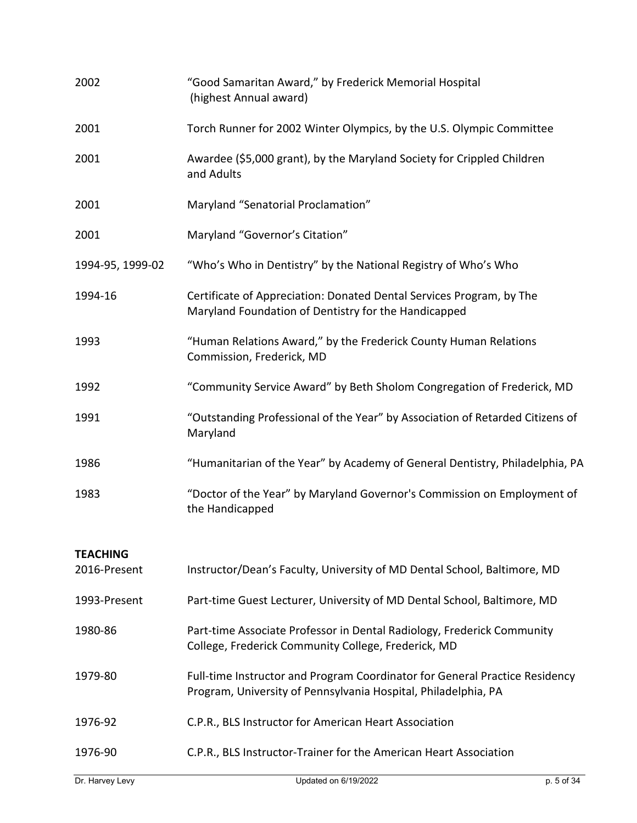| 2002             | "Good Samaritan Award," by Frederick Memorial Hospital<br>(highest Annual award)                                                              |
|------------------|-----------------------------------------------------------------------------------------------------------------------------------------------|
| 2001             | Torch Runner for 2002 Winter Olympics, by the U.S. Olympic Committee                                                                          |
| 2001             | Awardee (\$5,000 grant), by the Maryland Society for Crippled Children<br>and Adults                                                          |
| 2001             | Maryland "Senatorial Proclamation"                                                                                                            |
| 2001             | Maryland "Governor's Citation"                                                                                                                |
| 1994-95, 1999-02 | "Who's Who in Dentistry" by the National Registry of Who's Who                                                                                |
| 1994-16          | Certificate of Appreciation: Donated Dental Services Program, by The<br>Maryland Foundation of Dentistry for the Handicapped                  |
| 1993             | "Human Relations Award," by the Frederick County Human Relations<br>Commission, Frederick, MD                                                 |
| 1992             | "Community Service Award" by Beth Sholom Congregation of Frederick, MD                                                                        |
| 1991             | "Outstanding Professional of the Year" by Association of Retarded Citizens of<br>Maryland                                                     |
| 1986             | "Humanitarian of the Year" by Academy of General Dentistry, Philadelphia, PA                                                                  |
| 1983             | "Doctor of the Year" by Maryland Governor's Commission on Employment of<br>the Handicapped                                                    |
| <b>TEACHING</b>  |                                                                                                                                               |
| 2016-Present     | Instructor/Dean's Faculty, University of MD Dental School, Baltimore, MD                                                                      |
| 1993-Present     | Part-time Guest Lecturer, University of MD Dental School, Baltimore, MD                                                                       |
| 1980-86          | Part-time Associate Professor in Dental Radiology, Frederick Community<br>College, Frederick Community College, Frederick, MD                 |
| 1979-80          | Full-time Instructor and Program Coordinator for General Practice Residency<br>Program, University of Pennsylvania Hospital, Philadelphia, PA |
| 1976-92          | C.P.R., BLS Instructor for American Heart Association                                                                                         |
| 1976-90          | C.P.R., BLS Instructor-Trainer for the American Heart Association                                                                             |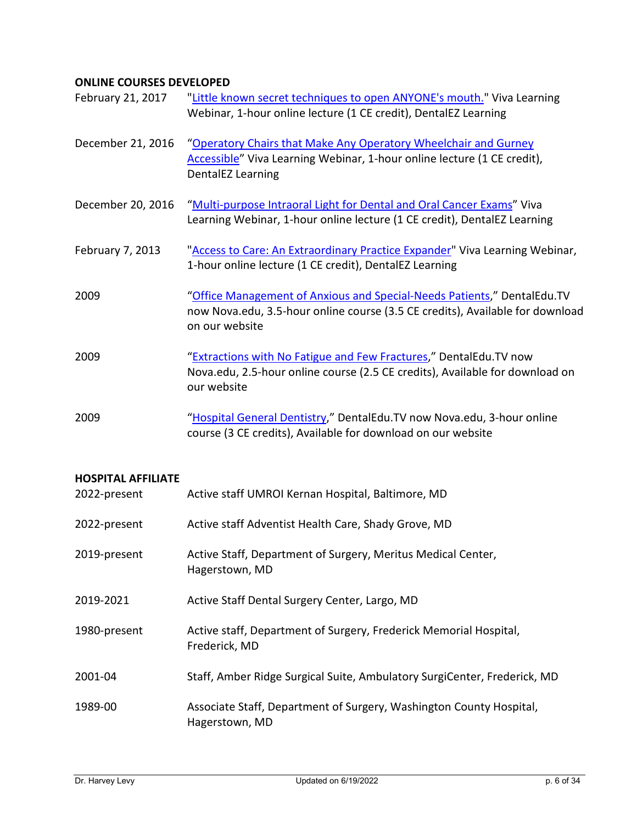## **ONLINE COURSES DEVELOPED**

| February 21, 2017                         | "Little known secret techniques to open ANYONE's mouth." Viva Learning<br>Webinar, 1-hour online lecture (1 CE credit), DentalEZ Learning                                  |
|-------------------------------------------|----------------------------------------------------------------------------------------------------------------------------------------------------------------------------|
| December 21, 2016                         | "Operatory Chairs that Make Any Operatory Wheelchair and Gurney<br>Accessible" Viva Learning Webinar, 1-hour online lecture (1 CE credit),<br>DentalEZ Learning            |
| December 20, 2016                         | "Multi-purpose Intraoral Light for Dental and Oral Cancer Exams" Viva<br>Learning Webinar, 1-hour online lecture (1 CE credit), DentalEZ Learning                          |
| February 7, 2013                          | "Access to Care: An Extraordinary Practice Expander" Viva Learning Webinar,<br>1-hour online lecture (1 CE credit), DentalEZ Learning                                      |
| 2009                                      | "Office Management of Anxious and Special-Needs Patients," DentalEdu.TV<br>now Nova.edu, 3.5-hour online course (3.5 CE credits), Available for download<br>on our website |
| 2009                                      | "Extractions with No Fatigue and Few Fractures," DentalEdu.TV now<br>Nova.edu, 2.5-hour online course (2.5 CE credits), Available for download on<br>our website           |
| 2009                                      | "Hospital General Dentistry," DentalEdu.TV now Nova.edu, 3-hour online<br>course (3 CE credits), Available for download on our website                                     |
|                                           |                                                                                                                                                                            |
| <b>HOSPITAL AFFILIATE</b><br>2022-present | Active staff UMROI Kernan Hospital, Baltimore, MD                                                                                                                          |
| 2022-present                              | Active staff Adventist Health Care, Shady Grove, MD                                                                                                                        |
| 2019-present                              | Active Staff, Department of Surgery, Meritus Medical Center,<br>Hagerstown, MD                                                                                             |
| 2019-2021                                 | Active Staff Dental Surgery Center, Largo, MD                                                                                                                              |
| 1980-present                              | Active staff, Department of Surgery, Frederick Memorial Hospital,<br>Frederick, MD                                                                                         |
| 2001-04                                   | Staff, Amber Ridge Surgical Suite, Ambulatory SurgiCenter, Frederick, MD                                                                                                   |
| 1989-00                                   | Associate Staff, Department of Surgery, Washington County Hospital,<br>Hagerstown, MD                                                                                      |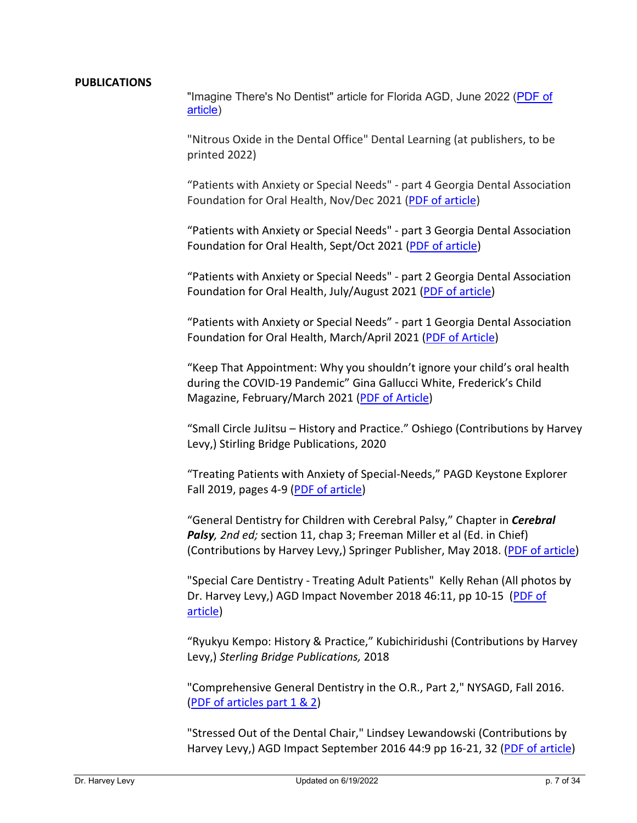#### **PUBLICATIONS**

"Imagine There's No Dentist" article for Florida AGD, June 2022 [\(PDF of](https://www.drhlevy.com/wp-content/uploads/2022/06/Harvey-Levy-Florida-Focus-June-2022.pdf)  [article\)](https://www.drhlevy.com/wp-content/uploads/2022/06/Harvey-Levy-Florida-Focus-June-2022.pdf)

"Nitrous Oxide in the Dental Office" Dental Learning (at publishers, to be printed 2022)

"Patients with Anxiety or Special Needs" - part 4 Georgia Dental Association Foundation for Oral Health, Nov/Dec 2021 [\(PDF of article\)](https://www.drhlevy.com/wp-content/uploads/2021/10/GDA-Harvey-Levy-article-4-Oct-2021.pdf)

"Patients with Anxiety or Special Needs" - part 3 Georgia Dental Association Foundation for Oral Health, Sept/Oct 2021 [\(PDF of article\)](https://www.drhlevy.com/wp-content/uploads/2021/09/GDA-Levy-article-3_print.pdf)

"Patients with Anxiety or Special Needs" - part 2 Georgia Dental Association Foundation for Oral Health, July/August 2021 [\(PDF of article\)](https://www.drhlevy.com/wp-content/uploads/2021/09/GDA-Levy-article-2_print.pdf)

"Patients with Anxiety or Special Needs" - part 1 Georgia Dental Association Foundation for Oral Health, March/April 2021 [\(PDF of Article\)](https://www.drhlevy.com/wp-content/uploads/2021/09/GDA-Levy-article-1_print.pdf)

"Keep That Appointment: Why you shouldn't ignore your child's oral health during the COVID-19 Pandemic" Gina Gallucci White, Frederick's Child Magazine, February/March 2021 [\(PDF of Article\)](https://drhlevy.com/wp-content/uploads/2021/03/Frederick-Child-article.pdf)

"Small Circle JuJitsu – History and Practice." Oshiego (Contributions by Harvey Levy,) Stirling Bridge Publications, 2020

"Treating Patients with Anxiety of Special-Needs," PAGD Keystone Explorer Fall 2019, pages 4-9 [\(PDF of article\)](https://www.drhlevy.com/wp-content/uploads/2021/09/PAGD_Fall2019_Levy.pdf)

"General Dentistry for Children with Cerebral Palsy," Chapter in *Cerebral Palsy, 2nd ed;* section 11, chap 3; Freeman Miller et al (Ed. in Chief) (Contributions by Harvey Levy,) Springer Publisher, May 2018. [\(PDF of article\)](https://www.drhlevy.com/wp-content/uploads/2021/09/cerebralpalsy.pdf)

"Special Care Dentistry - Treating Adult Patients" Kelly Rehan (All photos by Dr. Harvey Levy,) AGD Impact November 2018 46:11, pp 10-15 [\(PDF of](https://www.drhlevy.com/wp-content/uploads/2021/09/agdimpactnov2018.pdf)  [article\)](https://www.drhlevy.com/wp-content/uploads/2021/09/agdimpactnov2018.pdf)

"Ryukyu Kempo: History & Practice," Kubichiridushi (Contributions by Harvey Levy,) *Sterling Bridge Publications,* 2018

"Comprehensive General Dentistry in the O.R., Part 2," NYSAGD, Fall 2016. (PDF of [articles part 1 & 2\)](https://www.drhlevy.com/wp-content/uploads/2021/09/NYSAGD_article_part1and2.pdf)

"Stressed Out of the Dental Chair," Lindsey Lewandowski (Contributions by Harvey Levy,) AGD Impact September 2016 44:9 pp 16-21, 32 [\(PDF of article\)](https://www.drhlevy.com/wp-content/uploads/2021/09/agdimpact.pdf)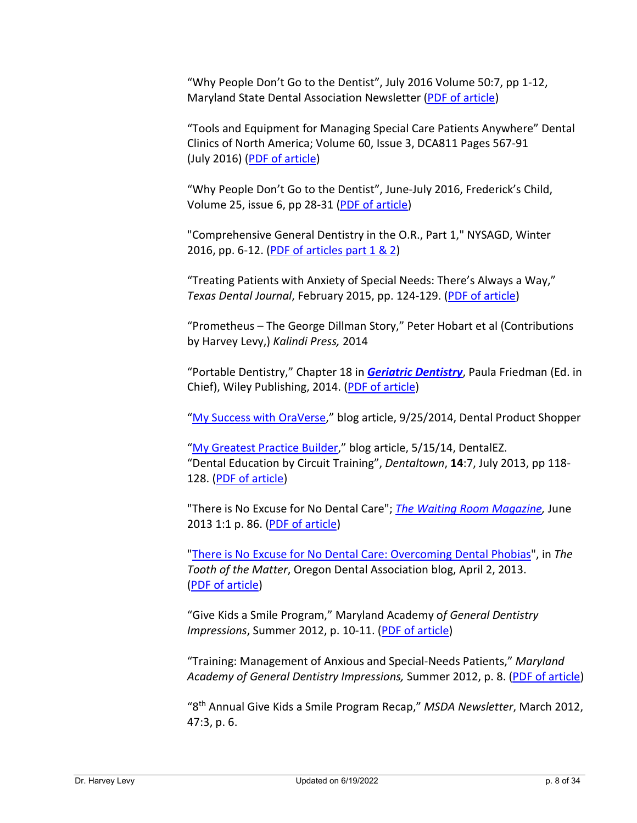"Why People Don't Go to the Dentist", July 2016 Volume 50:7, pp 1-12, Maryland State Dental Association Newsletter [\(PDF of article\)](https://www.drhlevy.com/wp-content/uploads/2021/09/MSDA_July2016.pdf)

"Tools and Equipment for Managing Special Care Patients Anywhere" Dental Clinics of North America; Volume 60, Issue 3, DCA811 Pages 567-91 (July 2016) [\(PDF of article\)](https://www.drhlevy.com/wp-content/uploads/2021/09/toolsandequipment.pdf)

"Why People Don't Go to the Dentist", June-July 2016, Frederick's Child, Volume 25, issue 6, pp 28-31 [\(PDF of article\)](https://www.drhlevy.com/wp-content/uploads/2021/09/fredericks_child_2016_scan.pdf)

"Comprehensive General Dentistry in the O.R., Part 1," NYSAGD, Winter 2016, pp. 6-12. [\(PDF of articles part 1 & 2\)](http://drhlevyassoc.com/clinicians/pubs/NYSAGD_article_part1and2.pdf)

"Treating Patients with Anxiety of Special Needs: There's Always a Way," *Texas Dental Journal*, February 2015, pp. 124-129. [\(PDF of article\)](https://www.drhlevy.com/wp-content/uploads/2021/09/hlevy-texas-dental-assn2015.pdf)

"Prometheus – The George Dillman Story," Peter Hobart et al (Contributions by Harvey Levy,) *Kalindi Press,* 2014

"Portable Dentistry," Chapter 18 in *[Geriatric Dentistry](http://www.wiley.com/WileyCDA/WileyTitle/productCd-EHEP003268.html)*, Paula Friedman (Ed. in Chief), Wiley Publishing, 2014. [\(PDF of article\)](http://www.wiley.com/WileyCDA/WileyTitle/productCd-1118300165,subjectCd-DN00.html)

["My Success with OraVerse,](http://www.dentalproductshopper.com/article/oraverse-1)" blog article, 9/25/2014, Dental Product Shopper

["My Greatest Practice Builder,](http://www.dentalez.com/blog/item/1694-my-greatest-practice-builder-dentalez-air-glide-j-series-and-nusimplicity-operatory-chairs)" blog article, 5/15/14, DentalEZ. "Dental Education by Circuit Training", *Dentaltown*, **14**:7, July 2013, pp 118- 128. [\(PDF of article\)](https://www.drhlevy.com/wp-content/uploads/2021/09/levy-DTJul13pg118.pdf)

"There is No Excuse for No Dental Care"; *[The Waiting Room Magazine,](http://www.thewaitingroommagazine.com/)* June 2013 1:1 p. 86. [\(PDF of article\)](http://www.drhlevyassoc.com/clinicians/pubs/theres-no-excuse-waiting-room-mag.pdf)

["There is No Excuse for No Dental Care: Overcoming Dental Phobias"](http://thetoothofthematter.org/there-is-no-excuse-for-no-dental-care-overcoming-dental-phobias/), in *The Tooth of the Matter*, Oregon Dental Association blog, April 2, 2013. [\(PDF of article\)](https://www.drhlevy.com/wp-content/uploads/2021/09/levy-NoExcuseforNoDentalCare.pdf)

"Give Kids a Smile Program," Maryland Academy o*f General Dentistry Impressions*, Summer 2012, p. 10-11. [\(PDF of article\)](https://www.drhlevy.com/wp-content/uploads/2021/09/give_kids_smile_agd_impressoins_summer2012.pdf)

"Training: Management of Anxious and Special-Needs Patients," *Maryland Academy of General Dentistry Impressions,* Summer 2012, p. 8. [\(PDF of article\)](https://www.drhlevy.com/wp-content/uploads/2021/09/training_agd_impressions_summer2012.pdf)

"8th Annual Give Kids a Smile Program Recap," *MSDA Newsletter*, March 2012, 47:3, p. 6.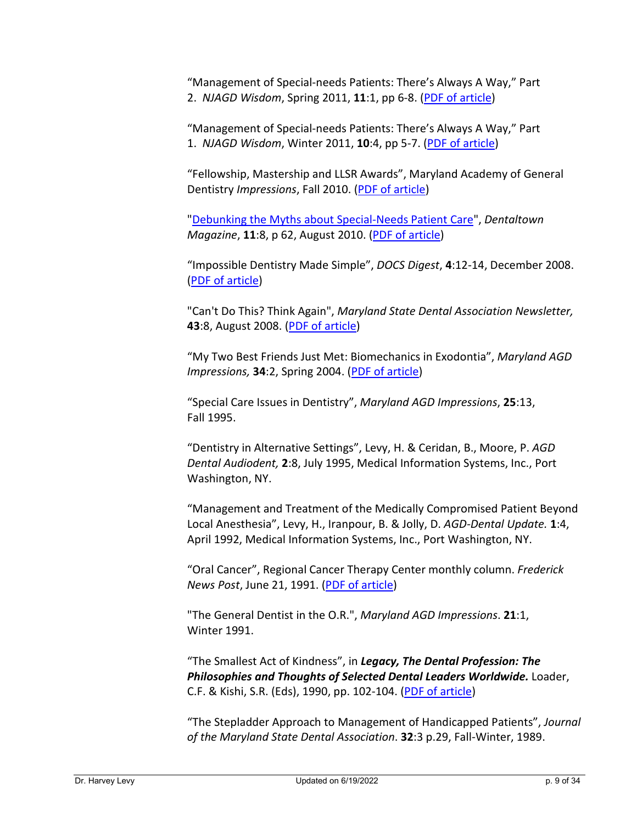"Management of Special-needs Patients: There's Always A Way," Part 2. *NJAGD Wisdom*, Spring 2011, **11**:1, pp 6-8. [\(PDF of article\)](https://www.drhlevy.com/wp-content/uploads/2021/09/hlevy_theres_always_a_way_njagdwisdom_part2.pdf)

"Management of Special-needs Patients: There's Always A Way," Part 1. *NJAGD Wisdom*, Winter 2011, **10**:4, pp 5-7. [\(PDF of article\)](https://www.drhlevy.com/wp-content/uploads/2021/09/hlevy_theres_always_a_way_njagdwisdom_part1.pdf)

"Fellowship, Mastership and LLSR Awards", Maryland Academy of General Dentistry *Impressions*, Fall 2010. [\(PDF of article\)](https://www.drhlevy.com/wp-content/uploads/2021/09/fellowship-mastership-llsr-awards.pdf)

["Debunking the Myths about Special-Needs Patient Care"](http://www.dentaltown.com/dentaltown/article.aspx?aid=2842), *Dentaltown Magazine*, **11**:8, p 62, August 2010. [\(PDF of article\)](https://www.drhlevy.com/wp-content/uploads/2021/09/debunking-myths-DTAug10pg62.pdf)

"Impossible Dentistry Made Simple", *DOCS Digest*, **4**:12-14, December 2008. [\(PDF of article\)](https://www.drhlevy.com/wp-content/uploads/2021/09/dr_levy_article_docs_winter_2008.pdf)

"Can't Do This? Think Again", *Maryland State Dental Association Newsletter,* **43**:8, August 2008. [\(PDF of article\)](https://www.drhlevy.com/wp-content/uploads/2021/09/cant-do-this-MSDAAug-2008.pdf)

"My Two Best Friends Just Met: Biomechanics in Exodontia", *Maryland AGD Impressions,* **34**:2, Spring 2004. [\(PDF of article\)](https://www.drhlevy.com/wp-content/uploads/2021/09/my_two_best_friends_just_met.pdf)

"Special Care Issues in Dentistry", *Maryland AGD Impressions*, **25**:13, Fall 1995.

"Dentistry in Alternative Settings", Levy, H. & Ceridan, B., Moore, P. *AGD Dental Audiodent,* **2**:8, July 1995, Medical Information Systems, Inc., Port Washington, NY.

"Management and Treatment of the Medically Compromised Patient Beyond Local Anesthesia", Levy, H., Iranpour, B. & Jolly, D. *AGD-Dental Update.* **1**:4, April 1992, Medical Information Systems, Inc., Port Washington, NY.

"Oral Cancer", Regional Cancer Therapy Center monthly column. *Frederick News Post*, June 21, 1991. [\(PDF of article\)](https://www.drhlevy.com/wp-content/uploads/2021/09/we-want-you-to-know-oral-cancer_fnp_6-21-91.pdf)

"The General Dentist in the O.R.", *Maryland AGD Impressions*. **21**:1, Winter 1991.

"The Smallest Act of Kindness", in *Legacy, The Dental Profession: The Philosophies and Thoughts of Selected Dental Leaders Worldwide.* Loader, C.F. & Kishi, S.R. (Eds), 1990, pp. 102-104. [\(PDF of article\)](https://www.drhlevy.com/wp-content/uploads/2021/09/hlevy-legacy-the-dental-profession.pdf)

"The Stepladder Approach to Management of Handicapped Patients", *Journal of the Maryland State Dental Association*. **32**:3 p.29, Fall-Winter, 1989.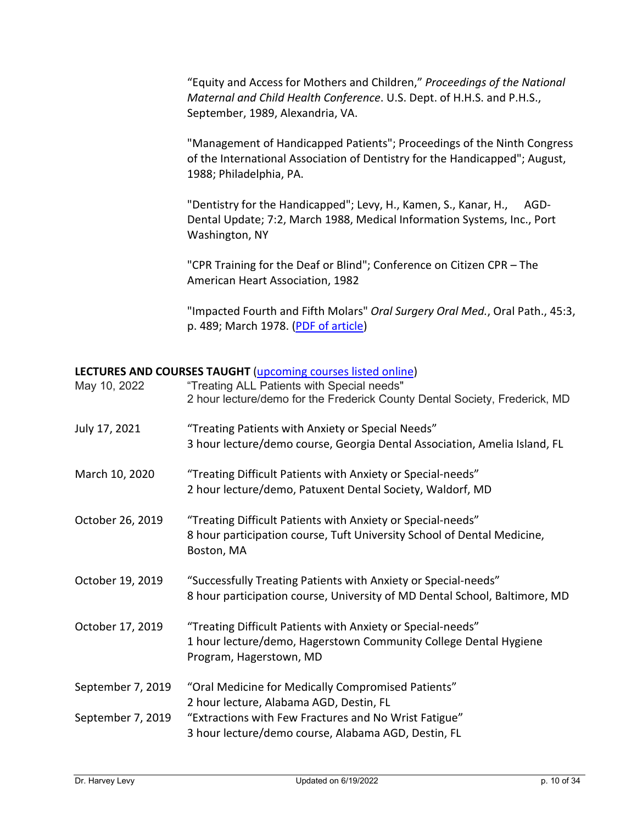"Equity and Access for Mothers and Children," *Proceedings of the National Maternal and Child Health Conference*. U.S. Dept. of H.H.S. and P.H.S., September, 1989, Alexandria, VA.

"Management of Handicapped Patients"; Proceedings of the Ninth Congress of the International Association of Dentistry for the Handicapped"; August, 1988; Philadelphia, PA.

"Dentistry for the Handicapped"; Levy, H., Kamen, S., Kanar, H., AGD-Dental Update; 7:2, March 1988, Medical Information Systems, Inc., Port Washington, NY

"CPR Training for the Deaf or Blind"; Conference on Citizen CPR – The American Heart Association, 1982

"Impacted Fourth and Fifth Molars" *Oral Surgery Oral Med.*, Oral Path., 45:3, p. 489; March 1978. [\(PDF of article\)](https://www.drhlevy.com/wp-content/uploads/2021/09/impacted-second-third-fifth-molars.pdf)

### **LECTURES AND COURSES TAUGHT** [\(upcoming courses listed online\)](https://www.drhlevy.com/upcoming-lectures/)

| May 10, 2022      | "Treating ALL Patients with Special needs"<br>2 hour lecture/demo for the Frederick County Dental Society, Frederick, MD                                   |
|-------------------|------------------------------------------------------------------------------------------------------------------------------------------------------------|
| July 17, 2021     | "Treating Patients with Anxiety or Special Needs"<br>3 hour lecture/demo course, Georgia Dental Association, Amelia Island, FL                             |
| March 10, 2020    | "Treating Difficult Patients with Anxiety or Special-needs"<br>2 hour lecture/demo, Patuxent Dental Society, Waldorf, MD                                   |
| October 26, 2019  | "Treating Difficult Patients with Anxiety or Special-needs"<br>8 hour participation course, Tuft University School of Dental Medicine,<br>Boston, MA       |
| October 19, 2019  | "Successfully Treating Patients with Anxiety or Special-needs"<br>8 hour participation course, University of MD Dental School, Baltimore, MD               |
| October 17, 2019  | "Treating Difficult Patients with Anxiety or Special-needs"<br>1 hour lecture/demo, Hagerstown Community College Dental Hygiene<br>Program, Hagerstown, MD |
| September 7, 2019 | "Oral Medicine for Medically Compromised Patients"<br>2 hour lecture, Alabama AGD, Destin, FL                                                              |
| September 7, 2019 | "Extractions with Few Fractures and No Wrist Fatigue"<br>3 hour lecture/demo course, Alabama AGD, Destin, FL                                               |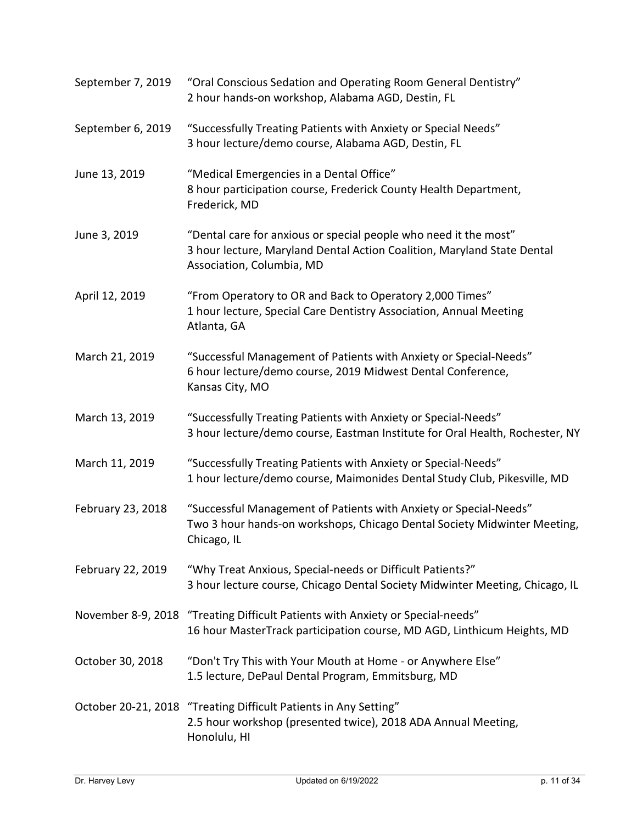| September 7, 2019 | "Oral Conscious Sedation and Operating Room General Dentistry"<br>2 hour hands-on workshop, Alabama AGD, Destin, FL                                                      |
|-------------------|--------------------------------------------------------------------------------------------------------------------------------------------------------------------------|
| September 6, 2019 | "Successfully Treating Patients with Anxiety or Special Needs"<br>3 hour lecture/demo course, Alabama AGD, Destin, FL                                                    |
| June 13, 2019     | "Medical Emergencies in a Dental Office"<br>8 hour participation course, Frederick County Health Department,<br>Frederick, MD                                            |
| June 3, 2019      | "Dental care for anxious or special people who need it the most"<br>3 hour lecture, Maryland Dental Action Coalition, Maryland State Dental<br>Association, Columbia, MD |
| April 12, 2019    | "From Operatory to OR and Back to Operatory 2,000 Times"<br>1 hour lecture, Special Care Dentistry Association, Annual Meeting<br>Atlanta, GA                            |
| March 21, 2019    | "Successful Management of Patients with Anxiety or Special-Needs"<br>6 hour lecture/demo course, 2019 Midwest Dental Conference,<br>Kansas City, MO                      |
| March 13, 2019    | "Successfully Treating Patients with Anxiety or Special-Needs"<br>3 hour lecture/demo course, Eastman Institute for Oral Health, Rochester, NY                           |
| March 11, 2019    | "Successfully Treating Patients with Anxiety or Special-Needs"<br>1 hour lecture/demo course, Maimonides Dental Study Club, Pikesville, MD                               |
| February 23, 2018 | "Successful Management of Patients with Anxiety or Special-Needs"<br>Two 3 hour hands-on workshops, Chicago Dental Society Midwinter Meeting,<br>Chicago, IL             |
| February 22, 2019 | "Why Treat Anxious, Special-needs or Difficult Patients?"<br>3 hour lecture course, Chicago Dental Society Midwinter Meeting, Chicago, IL                                |
|                   | November 8-9, 2018 "Treating Difficult Patients with Anxiety or Special-needs"<br>16 hour MasterTrack participation course, MD AGD, Linthicum Heights, MD                |
| October 30, 2018  | "Don't Try This with Your Mouth at Home - or Anywhere Else"<br>1.5 lecture, DePaul Dental Program, Emmitsburg, MD                                                        |
|                   | October 20-21, 2018 "Treating Difficult Patients in Any Setting"<br>2.5 hour workshop (presented twice), 2018 ADA Annual Meeting,<br>Honolulu, HI                        |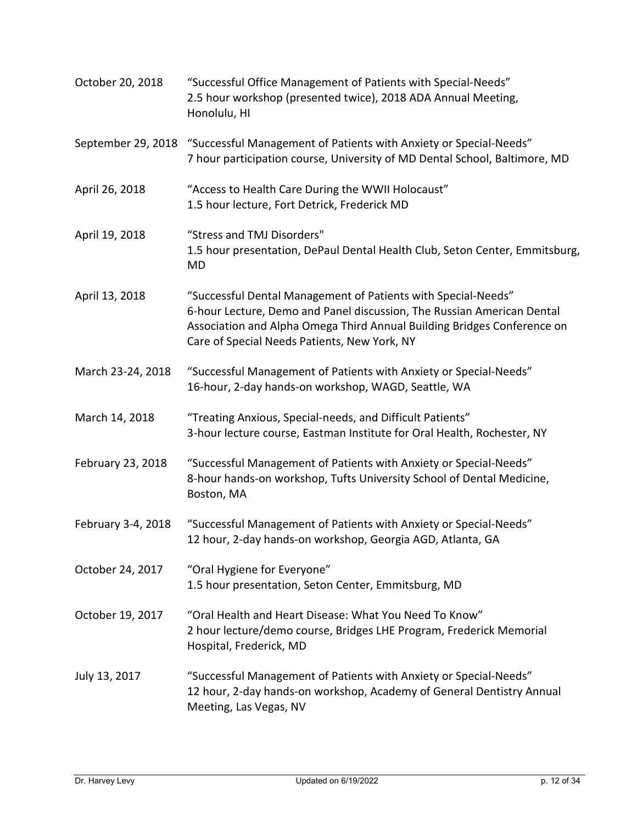| October 20, 2018   | "Successful Office Management of Patients with Special-Needs"<br>2.5 hour workshop (presented twice), 2018 ADA Annual Meeting,<br>Honolulu, HI                                                                                                                     |
|--------------------|--------------------------------------------------------------------------------------------------------------------------------------------------------------------------------------------------------------------------------------------------------------------|
|                    | September 29, 2018 "Successful Management of Patients with Anxiety or Special-Needs"<br>7 hour participation course, University of MD Dental School, Baltimore, MD                                                                                                 |
| April 26, 2018     | "Access to Health Care During the WWII Holocaust"<br>1.5 hour lecture, Fort Detrick, Frederick MD                                                                                                                                                                  |
| April 19, 2018     | "Stress and TMJ Disorders"<br>1.5 hour presentation, DePaul Dental Health Club, Seton Center, Emmitsburg,<br><b>MD</b>                                                                                                                                             |
| April 13, 2018     | "Successful Dental Management of Patients with Special-Needs"<br>6-hour Lecture, Demo and Panel discussion, The Russian American Dental<br>Association and Alpha Omega Third Annual Building Bridges Conference on<br>Care of Special Needs Patients, New York, NY |
| March 23-24, 2018  | "Successful Management of Patients with Anxiety or Special-Needs"<br>16-hour, 2-day hands-on workshop, WAGD, Seattle, WA                                                                                                                                           |
| March 14, 2018     | "Treating Anxious, Special-needs, and Difficult Patients"<br>3-hour lecture course, Eastman Institute for Oral Health, Rochester, NY                                                                                                                               |
| February 23, 2018  | "Successful Management of Patients with Anxiety or Special-Needs"<br>8-hour hands-on workshop, Tufts University School of Dental Medicine,<br>Boston, MA                                                                                                           |
| February 3-4, 2018 | "Successful Management of Patients with Anxiety or Special-Needs"<br>12 hour, 2-day hands-on workshop, Georgia AGD, Atlanta, GA                                                                                                                                    |
| October 24, 2017   | "Oral Hygiene for Everyone"<br>1.5 hour presentation, Seton Center, Emmitsburg, MD                                                                                                                                                                                 |
| October 19, 2017   | "Oral Health and Heart Disease: What You Need To Know"<br>2 hour lecture/demo course, Bridges LHE Program, Frederick Memorial<br>Hospital, Frederick, MD                                                                                                           |
| July 13, 2017      | "Successful Management of Patients with Anxiety or Special-Needs"<br>12 hour, 2-day hands-on workshop, Academy of General Dentistry Annual<br>Meeting, Las Vegas, NV                                                                                               |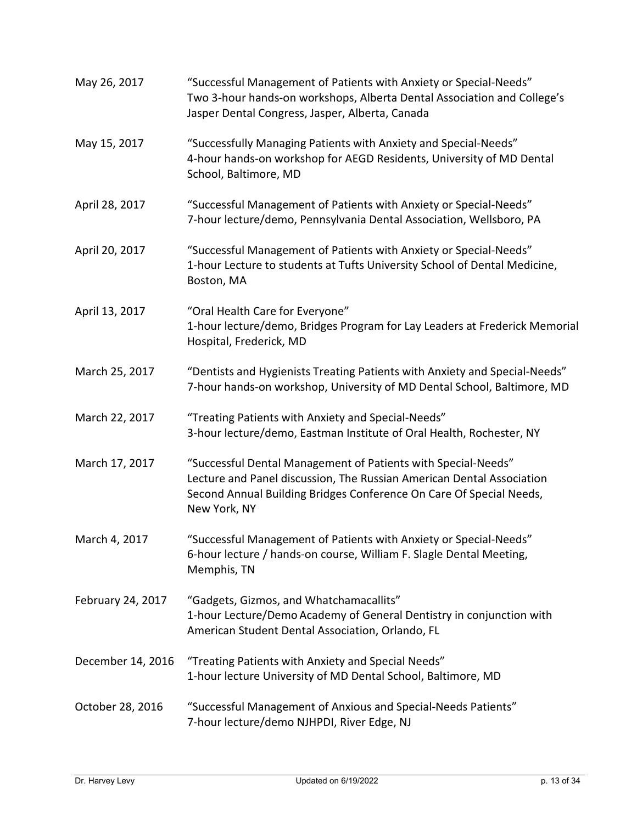| May 26, 2017      | "Successful Management of Patients with Anxiety or Special-Needs"<br>Two 3-hour hands-on workshops, Alberta Dental Association and College's<br>Jasper Dental Congress, Jasper, Alberta, Canada                               |
|-------------------|-------------------------------------------------------------------------------------------------------------------------------------------------------------------------------------------------------------------------------|
| May 15, 2017      | "Successfully Managing Patients with Anxiety and Special-Needs"<br>4-hour hands-on workshop for AEGD Residents, University of MD Dental<br>School, Baltimore, MD                                                              |
| April 28, 2017    | "Successful Management of Patients with Anxiety or Special-Needs"<br>7-hour lecture/demo, Pennsylvania Dental Association, Wellsboro, PA                                                                                      |
| April 20, 2017    | "Successful Management of Patients with Anxiety or Special-Needs"<br>1-hour Lecture to students at Tufts University School of Dental Medicine,<br>Boston, MA                                                                  |
| April 13, 2017    | "Oral Health Care for Everyone"<br>1-hour lecture/demo, Bridges Program for Lay Leaders at Frederick Memorial<br>Hospital, Frederick, MD                                                                                      |
| March 25, 2017    | "Dentists and Hygienists Treating Patients with Anxiety and Special-Needs"<br>7-hour hands-on workshop, University of MD Dental School, Baltimore, MD                                                                         |
| March 22, 2017    | "Treating Patients with Anxiety and Special-Needs"<br>3-hour lecture/demo, Eastman Institute of Oral Health, Rochester, NY                                                                                                    |
| March 17, 2017    | "Successful Dental Management of Patients with Special-Needs"<br>Lecture and Panel discussion, The Russian American Dental Association<br>Second Annual Building Bridges Conference On Care Of Special Needs,<br>New York, NY |
| March 4, 2017     | "Successful Management of Patients with Anxiety or Special-Needs"<br>6-hour lecture / hands-on course, William F. Slagle Dental Meeting,<br>Memphis, TN                                                                       |
| February 24, 2017 | "Gadgets, Gizmos, and Whatchamacallits"<br>1-hour Lecture/Demo Academy of General Dentistry in conjunction with<br>American Student Dental Association, Orlando, FL                                                           |
| December 14, 2016 | "Treating Patients with Anxiety and Special Needs"<br>1-hour lecture University of MD Dental School, Baltimore, MD                                                                                                            |
| October 28, 2016  | "Successful Management of Anxious and Special-Needs Patients"<br>7-hour lecture/demo NJHPDI, River Edge, NJ                                                                                                                   |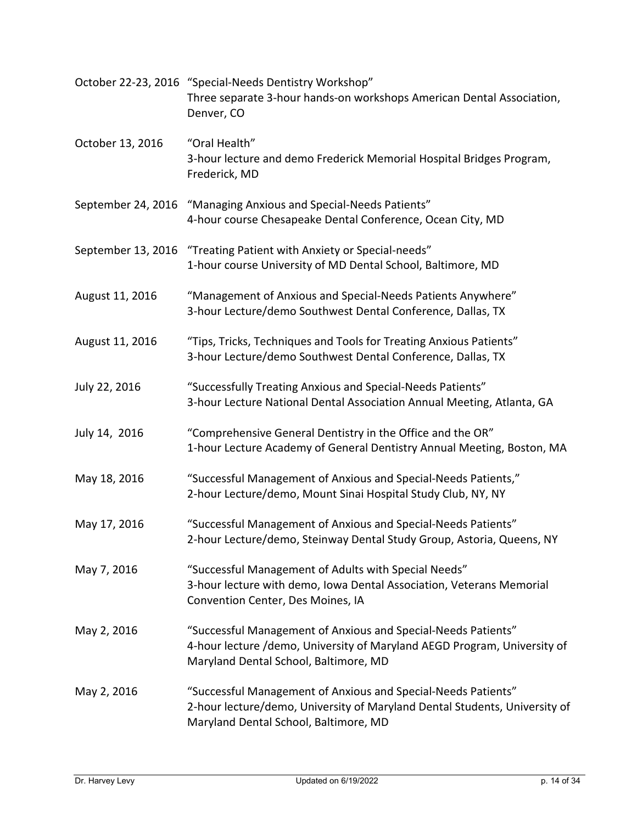|                  | October 22-23, 2016 "Special-Needs Dentistry Workshop"<br>Three separate 3-hour hands-on workshops American Dental Association,<br>Denver, CO                                        |
|------------------|--------------------------------------------------------------------------------------------------------------------------------------------------------------------------------------|
| October 13, 2016 | "Oral Health"<br>3-hour lecture and demo Frederick Memorial Hospital Bridges Program,<br>Frederick, MD                                                                               |
|                  | September 24, 2016 "Managing Anxious and Special-Needs Patients"<br>4-hour course Chesapeake Dental Conference, Ocean City, MD                                                       |
|                  | September 13, 2016 "Treating Patient with Anxiety or Special-needs"<br>1-hour course University of MD Dental School, Baltimore, MD                                                   |
| August 11, 2016  | "Management of Anxious and Special-Needs Patients Anywhere"<br>3-hour Lecture/demo Southwest Dental Conference, Dallas, TX                                                           |
| August 11, 2016  | "Tips, Tricks, Techniques and Tools for Treating Anxious Patients"<br>3-hour Lecture/demo Southwest Dental Conference, Dallas, TX                                                    |
| July 22, 2016    | "Successfully Treating Anxious and Special-Needs Patients"<br>3-hour Lecture National Dental Association Annual Meeting, Atlanta, GA                                                 |
| July 14, 2016    | "Comprehensive General Dentistry in the Office and the OR"<br>1-hour Lecture Academy of General Dentistry Annual Meeting, Boston, MA                                                 |
| May 18, 2016     | "Successful Management of Anxious and Special-Needs Patients,"<br>2-hour Lecture/demo, Mount Sinai Hospital Study Club, NY, NY                                                       |
| May 17, 2016     | "Successful Management of Anxious and Special-Needs Patients"<br>2-hour Lecture/demo, Steinway Dental Study Group, Astoria, Queens, NY                                               |
| May 7, 2016      | "Successful Management of Adults with Special Needs"<br>3-hour lecture with demo, Iowa Dental Association, Veterans Memorial<br>Convention Center, Des Moines, IA                    |
| May 2, 2016      | "Successful Management of Anxious and Special-Needs Patients"<br>4-hour lecture /demo, University of Maryland AEGD Program, University of<br>Maryland Dental School, Baltimore, MD   |
| May 2, 2016      | "Successful Management of Anxious and Special-Needs Patients"<br>2-hour lecture/demo, University of Maryland Dental Students, University of<br>Maryland Dental School, Baltimore, MD |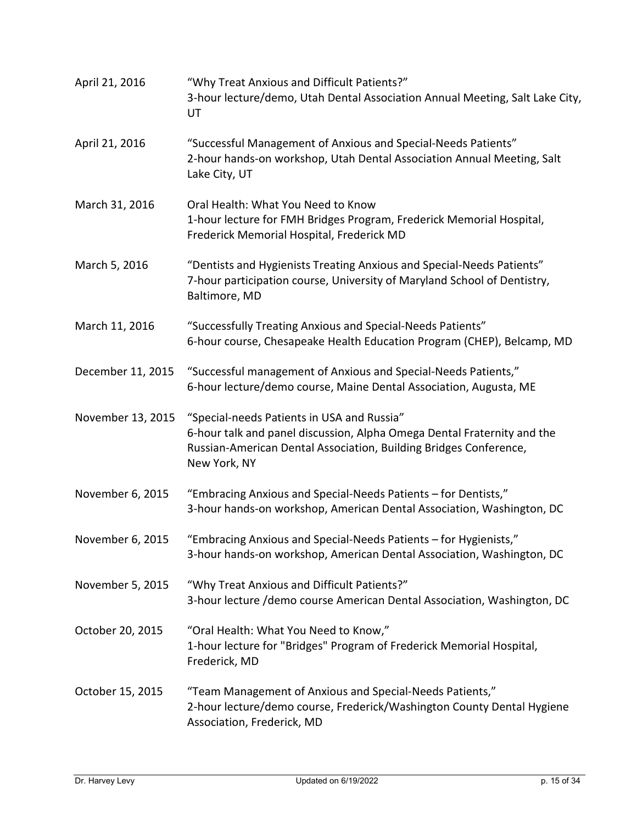| April 21, 2016    | "Why Treat Anxious and Difficult Patients?"<br>3-hour lecture/demo, Utah Dental Association Annual Meeting, Salt Lake City,<br>UT                                                                          |
|-------------------|------------------------------------------------------------------------------------------------------------------------------------------------------------------------------------------------------------|
| April 21, 2016    | "Successful Management of Anxious and Special-Needs Patients"<br>2-hour hands-on workshop, Utah Dental Association Annual Meeting, Salt<br>Lake City, UT                                                   |
| March 31, 2016    | Oral Health: What You Need to Know<br>1-hour lecture for FMH Bridges Program, Frederick Memorial Hospital,<br>Frederick Memorial Hospital, Frederick MD                                                    |
| March 5, 2016     | "Dentists and Hygienists Treating Anxious and Special-Needs Patients"<br>7-hour participation course, University of Maryland School of Dentistry,<br>Baltimore, MD                                         |
| March 11, 2016    | "Successfully Treating Anxious and Special-Needs Patients"<br>6-hour course, Chesapeake Health Education Program (CHEP), Belcamp, MD                                                                       |
| December 11, 2015 | "Successful management of Anxious and Special-Needs Patients,"<br>6-hour lecture/demo course, Maine Dental Association, Augusta, ME                                                                        |
| November 13, 2015 | "Special-needs Patients in USA and Russia"<br>6-hour talk and panel discussion, Alpha Omega Dental Fraternity and the<br>Russian-American Dental Association, Building Bridges Conference,<br>New York, NY |
| November 6, 2015  | "Embracing Anxious and Special-Needs Patients - for Dentists,"<br>3-hour hands-on workshop, American Dental Association, Washington, DC                                                                    |
| November 6, 2015  | "Embracing Anxious and Special-Needs Patients - for Hygienists,"<br>3-hour hands-on workshop, American Dental Association, Washington, DC                                                                  |
| November 5, 2015  | "Why Treat Anxious and Difficult Patients?"<br>3-hour lecture /demo course American Dental Association, Washington, DC                                                                                     |
| October 20, 2015  | "Oral Health: What You Need to Know,"<br>1-hour lecture for "Bridges" Program of Frederick Memorial Hospital,<br>Frederick, MD                                                                             |
| October 15, 2015  | "Team Management of Anxious and Special-Needs Patients,"<br>2-hour lecture/demo course, Frederick/Washington County Dental Hygiene<br>Association, Frederick, MD                                           |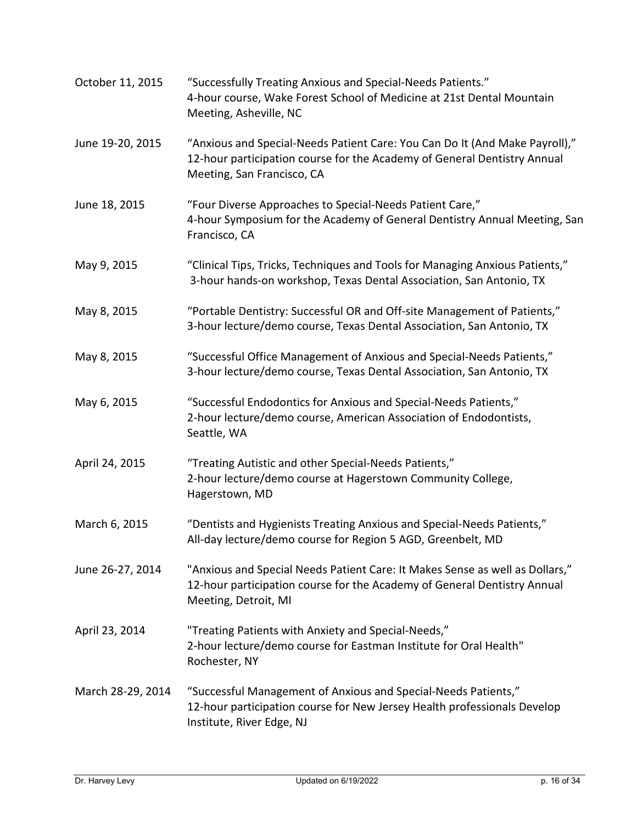| October 11, 2015  | "Successfully Treating Anxious and Special-Needs Patients."<br>4-hour course, Wake Forest School of Medicine at 21st Dental Mountain<br>Meeting, Asheville, NC                        |
|-------------------|---------------------------------------------------------------------------------------------------------------------------------------------------------------------------------------|
| June 19-20, 2015  | "Anxious and Special-Needs Patient Care: You Can Do It (And Make Payroll),"<br>12-hour participation course for the Academy of General Dentistry Annual<br>Meeting, San Francisco, CA |
| June 18, 2015     | "Four Diverse Approaches to Special-Needs Patient Care,"<br>4-hour Symposium for the Academy of General Dentistry Annual Meeting, San<br>Francisco, CA                                |
| May 9, 2015       | "Clinical Tips, Tricks, Techniques and Tools for Managing Anxious Patients,"<br>3-hour hands-on workshop, Texas Dental Association, San Antonio, TX                                   |
| May 8, 2015       | "Portable Dentistry: Successful OR and Off-site Management of Patients,"<br>3-hour lecture/demo course, Texas Dental Association, San Antonio, TX                                     |
| May 8, 2015       | "Successful Office Management of Anxious and Special-Needs Patients,"<br>3-hour lecture/demo course, Texas Dental Association, San Antonio, TX                                        |
| May 6, 2015       | "Successful Endodontics for Anxious and Special-Needs Patients,"<br>2-hour lecture/demo course, American Association of Endodontists,<br>Seattle, WA                                  |
| April 24, 2015    | "Treating Autistic and other Special-Needs Patients,"<br>2-hour lecture/demo course at Hagerstown Community College,<br>Hagerstown, MD                                                |
| March 6, 2015     | "Dentists and Hygienists Treating Anxious and Special-Needs Patients,"<br>All-day lecture/demo course for Region 5 AGD, Greenbelt, MD                                                 |
| June 26-27, 2014  | "Anxious and Special Needs Patient Care: It Makes Sense as well as Dollars,"<br>12-hour participation course for the Academy of General Dentistry Annual<br>Meeting, Detroit, MI      |
| April 23, 2014    | "Treating Patients with Anxiety and Special-Needs,"<br>2-hour lecture/demo course for Eastman Institute for Oral Health"<br>Rochester, NY                                             |
| March 28-29, 2014 | "Successful Management of Anxious and Special-Needs Patients,"<br>12-hour participation course for New Jersey Health professionals Develop<br>Institute, River Edge, NJ               |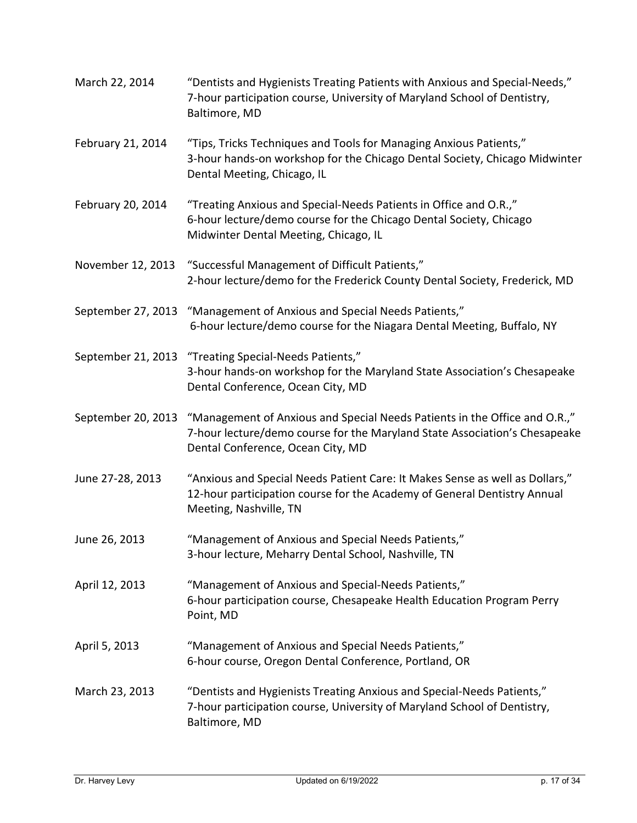| March 22, 2014     | "Dentists and Hygienists Treating Patients with Anxious and Special-Needs,"<br>7-hour participation course, University of Maryland School of Dentistry,<br>Baltimore, MD                      |
|--------------------|-----------------------------------------------------------------------------------------------------------------------------------------------------------------------------------------------|
| February 21, 2014  | "Tips, Tricks Techniques and Tools for Managing Anxious Patients,"<br>3-hour hands-on workshop for the Chicago Dental Society, Chicago Midwinter<br>Dental Meeting, Chicago, IL               |
| February 20, 2014  | "Treating Anxious and Special-Needs Patients in Office and O.R.,"<br>6-hour lecture/demo course for the Chicago Dental Society, Chicago<br>Midwinter Dental Meeting, Chicago, IL              |
| November 12, 2013  | "Successful Management of Difficult Patients,"<br>2-hour lecture/demo for the Frederick County Dental Society, Frederick, MD                                                                  |
| September 27, 2013 | "Management of Anxious and Special Needs Patients,"<br>6-hour lecture/demo course for the Niagara Dental Meeting, Buffalo, NY                                                                 |
|                    | September 21, 2013 "Treating Special-Needs Patients,"<br>3-hour hands-on workshop for the Maryland State Association's Chesapeake<br>Dental Conference, Ocean City, MD                        |
| September 20, 2013 | "Management of Anxious and Special Needs Patients in the Office and O.R.,"<br>7-hour lecture/demo course for the Maryland State Association's Chesapeake<br>Dental Conference, Ocean City, MD |
| June 27-28, 2013   | "Anxious and Special Needs Patient Care: It Makes Sense as well as Dollars,"<br>12-hour participation course for the Academy of General Dentistry Annual<br>Meeting, Nashville, TN            |
| June 26, 2013      | "Management of Anxious and Special Needs Patients,"<br>3-hour lecture, Meharry Dental School, Nashville, TN                                                                                   |
| April 12, 2013     | "Management of Anxious and Special-Needs Patients,"<br>6-hour participation course, Chesapeake Health Education Program Perry<br>Point, MD                                                    |
| April 5, 2013      | "Management of Anxious and Special Needs Patients,"<br>6-hour course, Oregon Dental Conference, Portland, OR                                                                                  |
| March 23, 2013     | "Dentists and Hygienists Treating Anxious and Special-Needs Patients,"<br>7-hour participation course, University of Maryland School of Dentistry,<br>Baltimore, MD                           |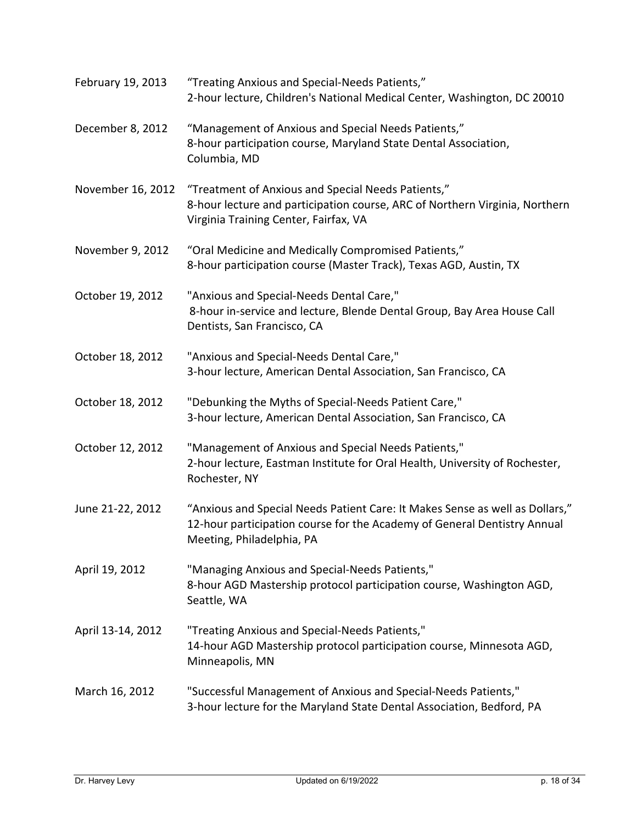| February 19, 2013 | "Treating Anxious and Special-Needs Patients,"<br>2-hour lecture, Children's National Medical Center, Washington, DC 20010                                                            |
|-------------------|---------------------------------------------------------------------------------------------------------------------------------------------------------------------------------------|
| December 8, 2012  | "Management of Anxious and Special Needs Patients,"<br>8-hour participation course, Maryland State Dental Association,<br>Columbia, MD                                                |
| November 16, 2012 | "Treatment of Anxious and Special Needs Patients,"<br>8-hour lecture and participation course, ARC of Northern Virginia, Northern<br>Virginia Training Center, Fairfax, VA            |
| November 9, 2012  | "Oral Medicine and Medically Compromised Patients,"<br>8-hour participation course (Master Track), Texas AGD, Austin, TX                                                              |
| October 19, 2012  | "Anxious and Special-Needs Dental Care,"<br>8-hour in-service and lecture, Blende Dental Group, Bay Area House Call<br>Dentists, San Francisco, CA                                    |
| October 18, 2012  | "Anxious and Special-Needs Dental Care,"<br>3-hour lecture, American Dental Association, San Francisco, CA                                                                            |
| October 18, 2012  | "Debunking the Myths of Special-Needs Patient Care,"<br>3-hour lecture, American Dental Association, San Francisco, CA                                                                |
| October 12, 2012  | "Management of Anxious and Special Needs Patients,"<br>2-hour lecture, Eastman Institute for Oral Health, University of Rochester,<br>Rochester, NY                                   |
| June 21-22, 2012  | "Anxious and Special Needs Patient Care: It Makes Sense as well as Dollars,"<br>12-hour participation course for the Academy of General Dentistry Annual<br>Meeting, Philadelphia, PA |
| April 19, 2012    | "Managing Anxious and Special-Needs Patients,"<br>8-hour AGD Mastership protocol participation course, Washington AGD,<br>Seattle, WA                                                 |
| April 13-14, 2012 | "Treating Anxious and Special-Needs Patients,"<br>14-hour AGD Mastership protocol participation course, Minnesota AGD,<br>Minneapolis, MN                                             |
| March 16, 2012    | "Successful Management of Anxious and Special-Needs Patients,"<br>3-hour lecture for the Maryland State Dental Association, Bedford, PA                                               |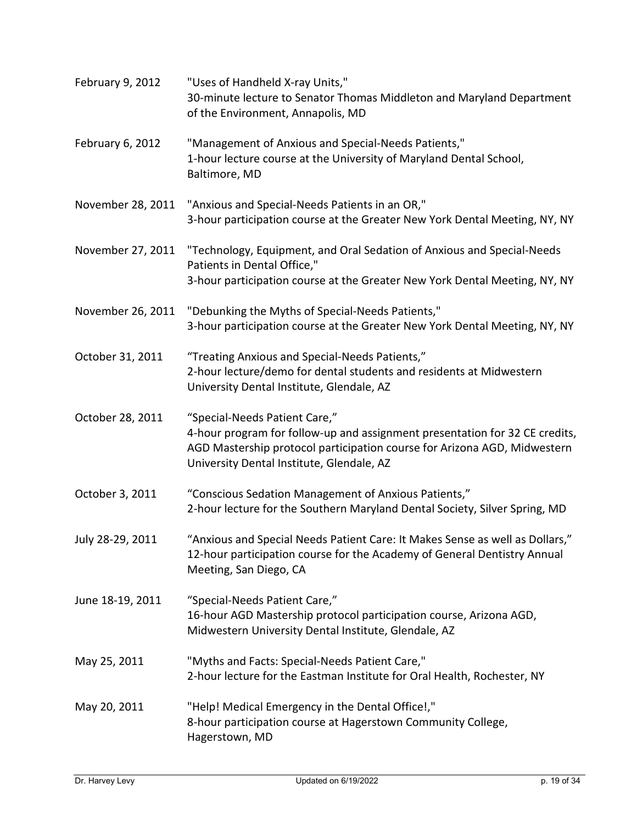| February 9, 2012  | "Uses of Handheld X-ray Units,"<br>30-minute lecture to Senator Thomas Middleton and Maryland Department<br>of the Environment, Annapolis, MD                                                                                         |
|-------------------|---------------------------------------------------------------------------------------------------------------------------------------------------------------------------------------------------------------------------------------|
| February 6, 2012  | "Management of Anxious and Special-Needs Patients,"<br>1-hour lecture course at the University of Maryland Dental School,<br>Baltimore, MD                                                                                            |
| November 28, 2011 | "Anxious and Special-Needs Patients in an OR,"<br>3-hour participation course at the Greater New York Dental Meeting, NY, NY                                                                                                          |
| November 27, 2011 | "Technology, Equipment, and Oral Sedation of Anxious and Special-Needs<br>Patients in Dental Office,"<br>3-hour participation course at the Greater New York Dental Meeting, NY, NY                                                   |
|                   |                                                                                                                                                                                                                                       |
| November 26, 2011 | "Debunking the Myths of Special-Needs Patients,"<br>3-hour participation course at the Greater New York Dental Meeting, NY, NY                                                                                                        |
| October 31, 2011  | "Treating Anxious and Special-Needs Patients,"<br>2-hour lecture/demo for dental students and residents at Midwestern<br>University Dental Institute, Glendale, AZ                                                                    |
| October 28, 2011  | "Special-Needs Patient Care,"<br>4-hour program for follow-up and assignment presentation for 32 CE credits,<br>AGD Mastership protocol participation course for Arizona AGD, Midwestern<br>University Dental Institute, Glendale, AZ |
| October 3, 2011   | "Conscious Sedation Management of Anxious Patients,"<br>2-hour lecture for the Southern Maryland Dental Society, Silver Spring, MD                                                                                                    |
| July 28-29, 2011  | "Anxious and Special Needs Patient Care: It Makes Sense as well as Dollars,"<br>12-hour participation course for the Academy of General Dentistry Annual<br>Meeting, San Diego, CA                                                    |
| June 18-19, 2011  | "Special-Needs Patient Care,"<br>16-hour AGD Mastership protocol participation course, Arizona AGD,<br>Midwestern University Dental Institute, Glendale, AZ                                                                           |
| May 25, 2011      | "Myths and Facts: Special-Needs Patient Care,"<br>2-hour lecture for the Eastman Institute for Oral Health, Rochester, NY                                                                                                             |
| May 20, 2011      | "Help! Medical Emergency in the Dental Office!,"<br>8-hour participation course at Hagerstown Community College,<br>Hagerstown, MD                                                                                                    |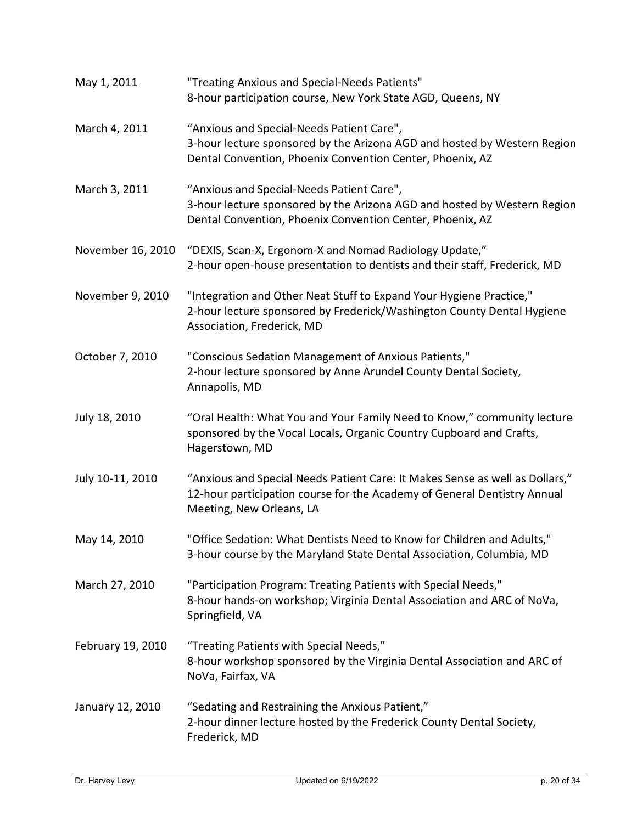| May 1, 2011       | "Treating Anxious and Special-Needs Patients"<br>8-hour participation course, New York State AGD, Queens, NY                                                                         |
|-------------------|--------------------------------------------------------------------------------------------------------------------------------------------------------------------------------------|
| March 4, 2011     | "Anxious and Special-Needs Patient Care",<br>3-hour lecture sponsored by the Arizona AGD and hosted by Western Region<br>Dental Convention, Phoenix Convention Center, Phoenix, AZ   |
| March 3, 2011     | "Anxious and Special-Needs Patient Care",<br>3-hour lecture sponsored by the Arizona AGD and hosted by Western Region<br>Dental Convention, Phoenix Convention Center, Phoenix, AZ   |
| November 16, 2010 | "DEXIS, Scan-X, Ergonom-X and Nomad Radiology Update,"<br>2-hour open-house presentation to dentists and their staff, Frederick, MD                                                  |
| November 9, 2010  | "Integration and Other Neat Stuff to Expand Your Hygiene Practice,"<br>2-hour lecture sponsored by Frederick/Washington County Dental Hygiene<br>Association, Frederick, MD          |
| October 7, 2010   | "Conscious Sedation Management of Anxious Patients,"<br>2-hour lecture sponsored by Anne Arundel County Dental Society,<br>Annapolis, MD                                             |
| July 18, 2010     | "Oral Health: What You and Your Family Need to Know," community lecture<br>sponsored by the Vocal Locals, Organic Country Cupboard and Crafts,<br>Hagerstown, MD                     |
| July 10-11, 2010  | "Anxious and Special Needs Patient Care: It Makes Sense as well as Dollars,"<br>12-hour participation course for the Academy of General Dentistry Annual<br>Meeting, New Orleans, LA |
| May 14, 2010      | "Office Sedation: What Dentists Need to Know for Children and Adults,"<br>3-hour course by the Maryland State Dental Association, Columbia, MD                                       |
| March 27, 2010    | "Participation Program: Treating Patients with Special Needs,"<br>8-hour hands-on workshop; Virginia Dental Association and ARC of NoVa,<br>Springfield, VA                          |
| February 19, 2010 | "Treating Patients with Special Needs,"<br>8-hour workshop sponsored by the Virginia Dental Association and ARC of<br>NoVa, Fairfax, VA                                              |
| January 12, 2010  | "Sedating and Restraining the Anxious Patient,"<br>2-hour dinner lecture hosted by the Frederick County Dental Society,<br>Frederick, MD                                             |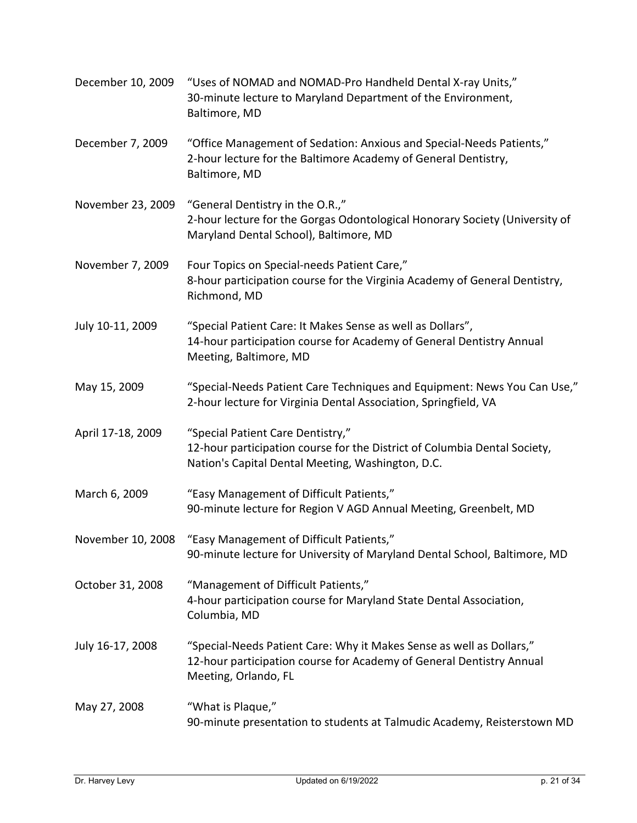| December 10, 2009 | "Uses of NOMAD and NOMAD-Pro Handheld Dental X-ray Units,"<br>30-minute lecture to Maryland Department of the Environment,<br>Baltimore, MD                          |
|-------------------|----------------------------------------------------------------------------------------------------------------------------------------------------------------------|
| December 7, 2009  | "Office Management of Sedation: Anxious and Special-Needs Patients,"<br>2-hour lecture for the Baltimore Academy of General Dentistry,<br>Baltimore, MD              |
| November 23, 2009 | "General Dentistry in the O.R.,"<br>2-hour lecture for the Gorgas Odontological Honorary Society (University of<br>Maryland Dental School), Baltimore, MD            |
| November 7, 2009  | Four Topics on Special-needs Patient Care,"<br>8-hour participation course for the Virginia Academy of General Dentistry,<br>Richmond, MD                            |
| July 10-11, 2009  | "Special Patient Care: It Makes Sense as well as Dollars",<br>14-hour participation course for Academy of General Dentistry Annual<br>Meeting, Baltimore, MD         |
| May 15, 2009      | "Special-Needs Patient Care Techniques and Equipment: News You Can Use,"<br>2-hour lecture for Virginia Dental Association, Springfield, VA                          |
| April 17-18, 2009 | "Special Patient Care Dentistry,"<br>12-hour participation course for the District of Columbia Dental Society,<br>Nation's Capital Dental Meeting, Washington, D.C.  |
| March 6, 2009     | "Easy Management of Difficult Patients,"<br>90-minute lecture for Region V AGD Annual Meeting, Greenbelt, MD                                                         |
| November 10, 2008 | "Easy Management of Difficult Patients,"<br>90-minute lecture for University of Maryland Dental School, Baltimore, MD                                                |
| October 31, 2008  | "Management of Difficult Patients,"<br>4-hour participation course for Maryland State Dental Association,<br>Columbia, MD                                            |
| July 16-17, 2008  | "Special-Needs Patient Care: Why it Makes Sense as well as Dollars,"<br>12-hour participation course for Academy of General Dentistry Annual<br>Meeting, Orlando, FL |
| May 27, 2008      | "What is Plaque,"<br>90-minute presentation to students at Talmudic Academy, Reisterstown MD                                                                         |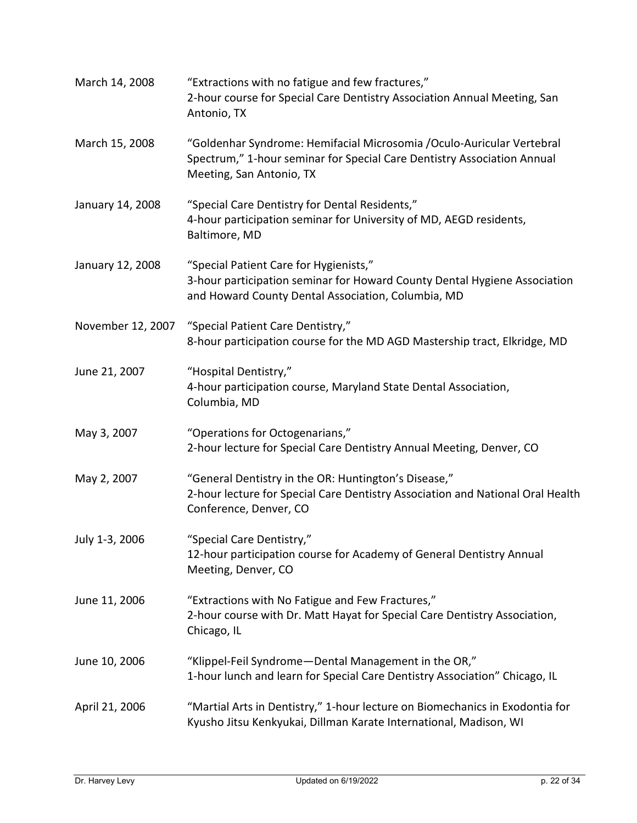| March 14, 2008    | "Extractions with no fatigue and few fractures,"<br>2-hour course for Special Care Dentistry Association Annual Meeting, San<br>Antonio, TX                                  |
|-------------------|------------------------------------------------------------------------------------------------------------------------------------------------------------------------------|
| March 15, 2008    | "Goldenhar Syndrome: Hemifacial Microsomia /Oculo-Auricular Vertebral<br>Spectrum," 1-hour seminar for Special Care Dentistry Association Annual<br>Meeting, San Antonio, TX |
| January 14, 2008  | "Special Care Dentistry for Dental Residents,"<br>4-hour participation seminar for University of MD, AEGD residents,<br>Baltimore, MD                                        |
| January 12, 2008  | "Special Patient Care for Hygienists,"<br>3-hour participation seminar for Howard County Dental Hygiene Association<br>and Howard County Dental Association, Columbia, MD    |
| November 12, 2007 | "Special Patient Care Dentistry,"<br>8-hour participation course for the MD AGD Mastership tract, Elkridge, MD                                                               |
| June 21, 2007     | "Hospital Dentistry,"<br>4-hour participation course, Maryland State Dental Association,<br>Columbia, MD                                                                     |
| May 3, 2007       | "Operations for Octogenarians,"<br>2-hour lecture for Special Care Dentistry Annual Meeting, Denver, CO                                                                      |
| May 2, 2007       | "General Dentistry in the OR: Huntington's Disease,"<br>2-hour lecture for Special Care Dentistry Association and National Oral Health<br>Conference, Denver, CO             |
| July 1-3, 2006    | "Special Care Dentistry,"<br>12-hour participation course for Academy of General Dentistry Annual<br>Meeting, Denver, CO                                                     |
| June 11, 2006     | "Extractions with No Fatigue and Few Fractures,"<br>2-hour course with Dr. Matt Hayat for Special Care Dentistry Association,<br>Chicago, IL                                 |
| June 10, 2006     | "Klippel-Feil Syndrome-Dental Management in the OR,"<br>1-hour lunch and learn for Special Care Dentistry Association" Chicago, IL                                           |
| April 21, 2006    | "Martial Arts in Dentistry," 1-hour lecture on Biomechanics in Exodontia for<br>Kyusho Jitsu Kenkyukai, Dillman Karate International, Madison, WI                            |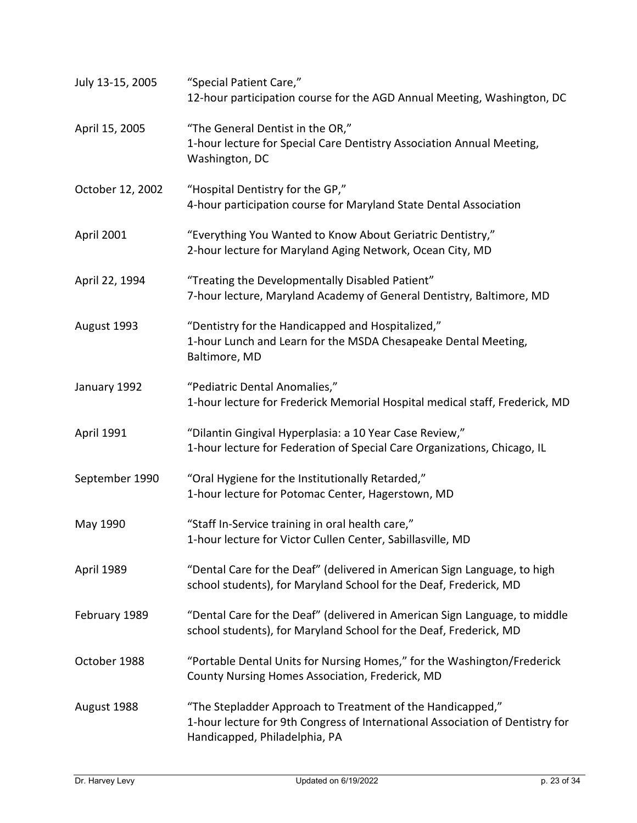| July 13-15, 2005  | "Special Patient Care,"<br>12-hour participation course for the AGD Annual Meeting, Washington, DC                                                                           |
|-------------------|------------------------------------------------------------------------------------------------------------------------------------------------------------------------------|
| April 15, 2005    | "The General Dentist in the OR,"<br>1-hour lecture for Special Care Dentistry Association Annual Meeting,<br>Washington, DC                                                  |
| October 12, 2002  | "Hospital Dentistry for the GP,"<br>4-hour participation course for Maryland State Dental Association                                                                        |
| April 2001        | "Everything You Wanted to Know About Geriatric Dentistry,"<br>2-hour lecture for Maryland Aging Network, Ocean City, MD                                                      |
| April 22, 1994    | "Treating the Developmentally Disabled Patient"<br>7-hour lecture, Maryland Academy of General Dentistry, Baltimore, MD                                                      |
| August 1993       | "Dentistry for the Handicapped and Hospitalized,"<br>1-hour Lunch and Learn for the MSDA Chesapeake Dental Meeting,<br>Baltimore, MD                                         |
| January 1992      | "Pediatric Dental Anomalies,"<br>1-hour lecture for Frederick Memorial Hospital medical staff, Frederick, MD                                                                 |
| <b>April 1991</b> | "Dilantin Gingival Hyperplasia: a 10 Year Case Review,"<br>1-hour lecture for Federation of Special Care Organizations, Chicago, IL                                          |
| September 1990    | "Oral Hygiene for the Institutionally Retarded,"<br>1-hour lecture for Potomac Center, Hagerstown, MD                                                                        |
| May 1990          | "Staff In-Service training in oral health care,"<br>1-hour lecture for Victor Cullen Center, Sabillasville, MD                                                               |
| April 1989        | "Dental Care for the Deaf" (delivered in American Sign Language, to high<br>school students), for Maryland School for the Deaf, Frederick, MD                                |
| February 1989     | "Dental Care for the Deaf" (delivered in American Sign Language, to middle<br>school students), for Maryland School for the Deaf, Frederick, MD                              |
| October 1988      | "Portable Dental Units for Nursing Homes," for the Washington/Frederick<br>County Nursing Homes Association, Frederick, MD                                                   |
| August 1988       | "The Stepladder Approach to Treatment of the Handicapped,"<br>1-hour lecture for 9th Congress of International Association of Dentistry for<br>Handicapped, Philadelphia, PA |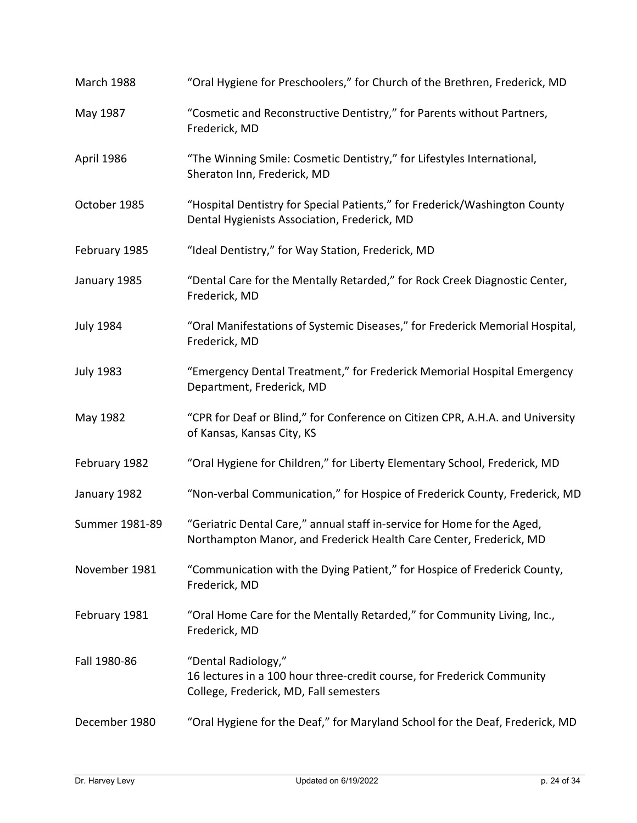| March 1988       | "Oral Hygiene for Preschoolers," for Church of the Brethren, Frederick, MD                                                                    |
|------------------|-----------------------------------------------------------------------------------------------------------------------------------------------|
| May 1987         | "Cosmetic and Reconstructive Dentistry," for Parents without Partners,<br>Frederick, MD                                                       |
| April 1986       | "The Winning Smile: Cosmetic Dentistry," for Lifestyles International,<br>Sheraton Inn, Frederick, MD                                         |
| October 1985     | "Hospital Dentistry for Special Patients," for Frederick/Washington County<br>Dental Hygienists Association, Frederick, MD                    |
| February 1985    | "Ideal Dentistry," for Way Station, Frederick, MD                                                                                             |
| January 1985     | "Dental Care for the Mentally Retarded," for Rock Creek Diagnostic Center,<br>Frederick, MD                                                   |
| <b>July 1984</b> | "Oral Manifestations of Systemic Diseases," for Frederick Memorial Hospital,<br>Frederick, MD                                                 |
| <b>July 1983</b> | "Emergency Dental Treatment," for Frederick Memorial Hospital Emergency<br>Department, Frederick, MD                                          |
| May 1982         | "CPR for Deaf or Blind," for Conference on Citizen CPR, A.H.A. and University<br>of Kansas, Kansas City, KS                                   |
| February 1982    | "Oral Hygiene for Children," for Liberty Elementary School, Frederick, MD                                                                     |
| January 1982     | "Non-verbal Communication," for Hospice of Frederick County, Frederick, MD                                                                    |
| Summer 1981-89   | "Geriatric Dental Care," annual staff in-service for Home for the Aged,<br>Northampton Manor, and Frederick Health Care Center, Frederick, MD |
| November 1981    | "Communication with the Dying Patient," for Hospice of Frederick County,<br>Frederick, MD                                                     |
| February 1981    | "Oral Home Care for the Mentally Retarded," for Community Living, Inc.,<br>Frederick, MD                                                      |
| Fall 1980-86     | "Dental Radiology,"<br>16 lectures in a 100 hour three-credit course, for Frederick Community<br>College, Frederick, MD, Fall semesters       |
| December 1980    | "Oral Hygiene for the Deaf," for Maryland School for the Deaf, Frederick, MD                                                                  |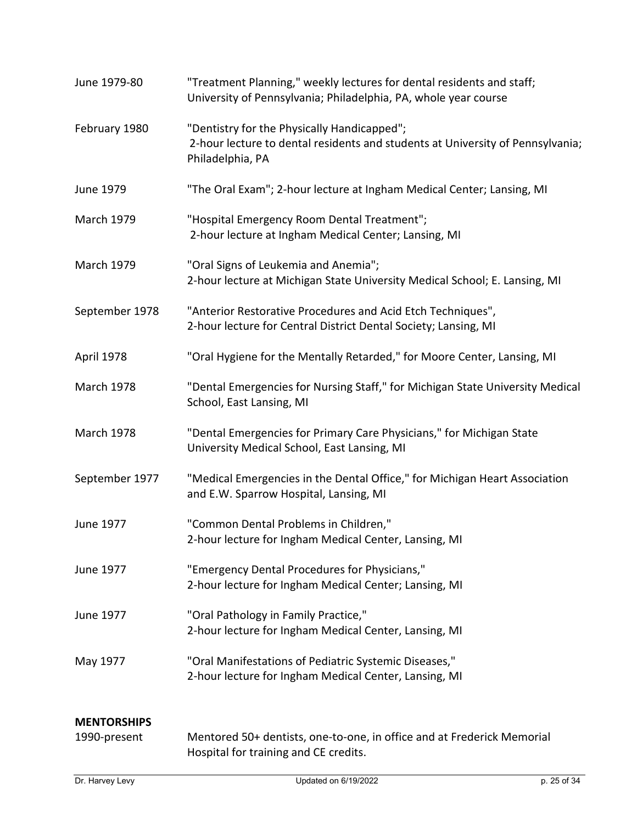| June 1979-80                       | "Treatment Planning," weekly lectures for dental residents and staff;<br>University of Pennsylvania; Philadelphia, PA, whole year course          |
|------------------------------------|---------------------------------------------------------------------------------------------------------------------------------------------------|
| February 1980                      | "Dentistry for the Physically Handicapped";<br>2-hour lecture to dental residents and students at University of Pennsylvania;<br>Philadelphia, PA |
| June 1979                          | "The Oral Exam"; 2-hour lecture at Ingham Medical Center; Lansing, MI                                                                             |
| <b>March 1979</b>                  | "Hospital Emergency Room Dental Treatment";<br>2-hour lecture at Ingham Medical Center; Lansing, MI                                               |
| <b>March 1979</b>                  | "Oral Signs of Leukemia and Anemia";<br>2-hour lecture at Michigan State University Medical School; E. Lansing, MI                                |
| September 1978                     | "Anterior Restorative Procedures and Acid Etch Techniques",<br>2-hour lecture for Central District Dental Society; Lansing, MI                    |
| April 1978                         | "Oral Hygiene for the Mentally Retarded," for Moore Center, Lansing, MI                                                                           |
| <b>March 1978</b>                  | "Dental Emergencies for Nursing Staff," for Michigan State University Medical<br>School, East Lansing, MI                                         |
| <b>March 1978</b>                  | "Dental Emergencies for Primary Care Physicians," for Michigan State<br>University Medical School, East Lansing, MI                               |
| September 1977                     | "Medical Emergencies in the Dental Office," for Michigan Heart Association<br>and E.W. Sparrow Hospital, Lansing, MI                              |
| June 1977                          | "Common Dental Problems in Children,"<br>2-hour lecture for Ingham Medical Center, Lansing, MI                                                    |
| June 1977                          | "Emergency Dental Procedures for Physicians,"<br>2-hour lecture for Ingham Medical Center; Lansing, MI                                            |
| June 1977                          | "Oral Pathology in Family Practice,"<br>2-hour lecture for Ingham Medical Center, Lansing, MI                                                     |
| May 1977                           | "Oral Manifestations of Pediatric Systemic Diseases,"<br>2-hour lecture for Ingham Medical Center, Lansing, MI                                    |
| <b>MENTORSHIPS</b><br>1990-present | Mentored 50+ dentists, one-to-one, in office and at Frederick Memorial<br>Hospital for training and CE credits.                                   |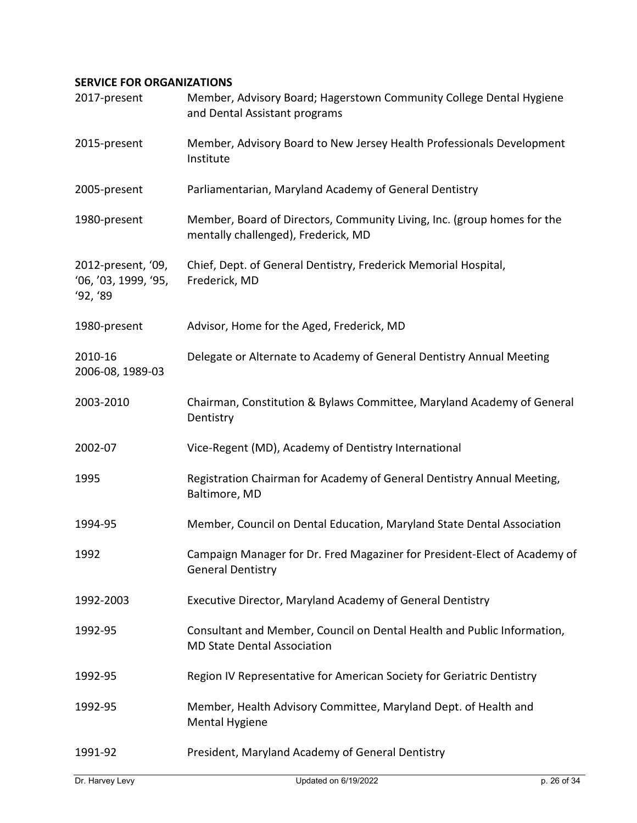## **SERVICE FOR ORGANIZATIONS**

| 2017-present                                           | Member, Advisory Board; Hagerstown Community College Dental Hygiene<br>and Dental Assistant programs           |
|--------------------------------------------------------|----------------------------------------------------------------------------------------------------------------|
| 2015-present                                           | Member, Advisory Board to New Jersey Health Professionals Development<br>Institute                             |
| 2005-present                                           | Parliamentarian, Maryland Academy of General Dentistry                                                         |
| 1980-present                                           | Member, Board of Directors, Community Living, Inc. (group homes for the<br>mentally challenged), Frederick, MD |
| 2012-present, '09,<br>'06, '03, 1999, '95,<br>'92, '89 | Chief, Dept. of General Dentistry, Frederick Memorial Hospital,<br>Frederick, MD                               |
| 1980-present                                           | Advisor, Home for the Aged, Frederick, MD                                                                      |
| 2010-16<br>2006-08, 1989-03                            | Delegate or Alternate to Academy of General Dentistry Annual Meeting                                           |
| 2003-2010                                              | Chairman, Constitution & Bylaws Committee, Maryland Academy of General<br>Dentistry                            |
| 2002-07                                                | Vice-Regent (MD), Academy of Dentistry International                                                           |
| 1995                                                   | Registration Chairman for Academy of General Dentistry Annual Meeting,<br>Baltimore, MD                        |
| 1994-95                                                | Member, Council on Dental Education, Maryland State Dental Association                                         |
| 1992                                                   | Campaign Manager for Dr. Fred Magaziner for President-Elect of Academy of<br><b>General Dentistry</b>          |
| 1992-2003                                              | Executive Director, Maryland Academy of General Dentistry                                                      |
| 1992-95                                                | Consultant and Member, Council on Dental Health and Public Information,<br><b>MD State Dental Association</b>  |
| 1992-95                                                | Region IV Representative for American Society for Geriatric Dentistry                                          |
| 1992-95                                                | Member, Health Advisory Committee, Maryland Dept. of Health and<br><b>Mental Hygiene</b>                       |
| 1991-92                                                | President, Maryland Academy of General Dentistry                                                               |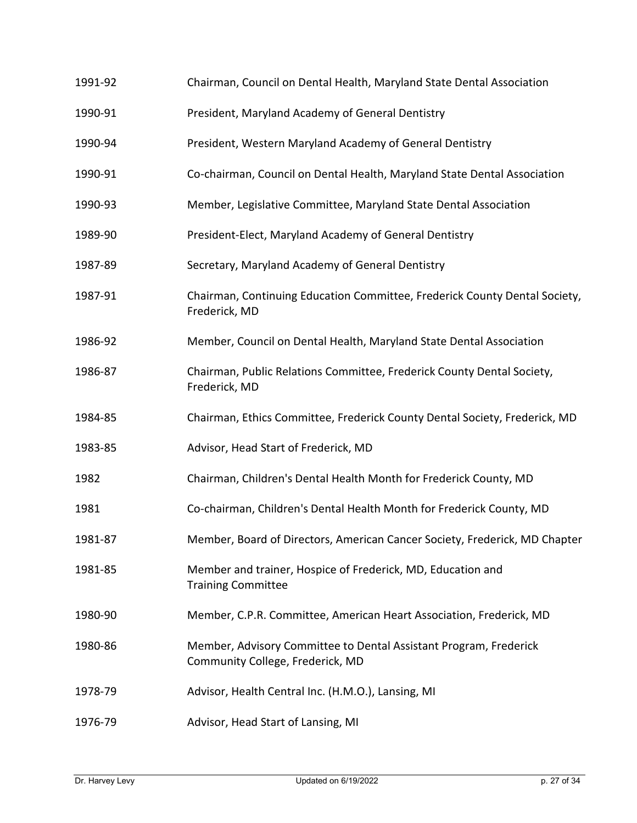- 1991-92 Chairman, Council on Dental Health, Maryland State Dental Association
- 1990-91 President, Maryland Academy of General Dentistry
- 1990-94 President, Western Maryland Academy of General Dentistry
- 1990-91 Co-chairman, Council on Dental Health, Maryland State Dental Association
- 1990-93 Member, Legislative Committee, Maryland State Dental Association
- 1989-90 President-Elect, Maryland Academy of General Dentistry
- 1987-89 Secretary, Maryland Academy of General Dentistry
- 1987-91 Chairman, Continuing Education Committee, Frederick County Dental Society, Frederick, MD
- 1986-92 Member, Council on Dental Health, Maryland State Dental Association
- 1986-87 Chairman, Public Relations Committee, Frederick County Dental Society, Frederick, MD
- 1984-85 Chairman, Ethics Committee, Frederick County Dental Society, Frederick, MD
- 1983-85 Advisor, Head Start of Frederick, MD
- 1982 Chairman, Children's Dental Health Month for Frederick County, MD
- 1981 Co-chairman, Children's Dental Health Month for Frederick County, MD
- 1981-87 Member, Board of Directors, American Cancer Society, Frederick, MD Chapter
- 1981-85 Member and trainer, Hospice of Frederick, MD, Education and Training Committee
- 1980-90 Member, C.P.R. Committee, American Heart Association, Frederick, MD
- 1980-86 Member, Advisory Committee to Dental Assistant Program, Frederick Community College, Frederick, MD
- 1978-79 Advisor, Health Central Inc. (H.M.O.), Lansing, MI
- 1976-79 Advisor, Head Start of Lansing, MI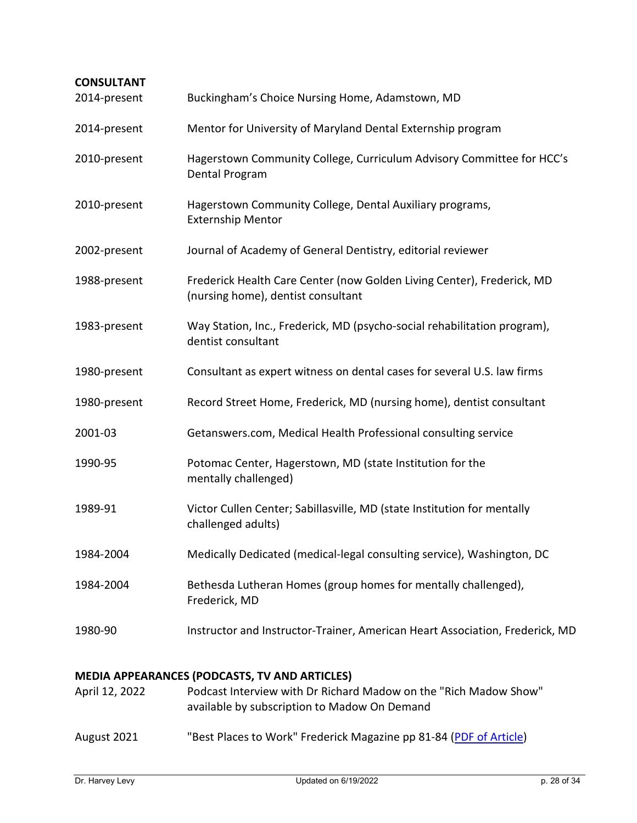| <b>CONSULTANT</b><br>2014-present | Buckingham's Choice Nursing Home, Adamstown, MD                                                                                                                          |
|-----------------------------------|--------------------------------------------------------------------------------------------------------------------------------------------------------------------------|
| 2014-present                      | Mentor for University of Maryland Dental Externship program                                                                                                              |
| 2010-present                      | Hagerstown Community College, Curriculum Advisory Committee for HCC's<br>Dental Program                                                                                  |
| 2010-present                      | Hagerstown Community College, Dental Auxiliary programs,<br><b>Externship Mentor</b>                                                                                     |
| 2002-present                      | Journal of Academy of General Dentistry, editorial reviewer                                                                                                              |
| 1988-present                      | Frederick Health Care Center (now Golden Living Center), Frederick, MD<br>(nursing home), dentist consultant                                                             |
| 1983-present                      | Way Station, Inc., Frederick, MD (psycho-social rehabilitation program),<br>dentist consultant                                                                           |
| 1980-present                      | Consultant as expert witness on dental cases for several U.S. law firms                                                                                                  |
| 1980-present                      | Record Street Home, Frederick, MD (nursing home), dentist consultant                                                                                                     |
| 2001-03                           | Getanswers.com, Medical Health Professional consulting service                                                                                                           |
| 1990-95                           | Potomac Center, Hagerstown, MD (state Institution for the<br>mentally challenged)                                                                                        |
| 1989-91                           | Victor Cullen Center; Sabillasville, MD (state Institution for mentally<br>challenged adults)                                                                            |
| 1984-2004                         | Medically Dedicated (medical-legal consulting service), Washington, DC                                                                                                   |
| 1984-2004                         | Bethesda Lutheran Homes (group homes for mentally challenged),<br>Frederick, MD                                                                                          |
| 1980-90                           | Instructor and Instructor-Trainer, American Heart Association, Frederick, MD                                                                                             |
| April 12, 2022                    | <b>MEDIA APPEARANCES (PODCASTS, TV AND ARTICLES)</b><br>Podcast Interview with Dr Richard Madow on the "Rich Madow Show"<br>available by subscription to Madow On Demand |

August 2021 "Best Places to Work" Frederick Magazine pp 81-84 [\(PDF of Article\)](https://www.drhlevy.com/wp-content/uploads/2022/01/2022_BestPlacestoWork.pdf)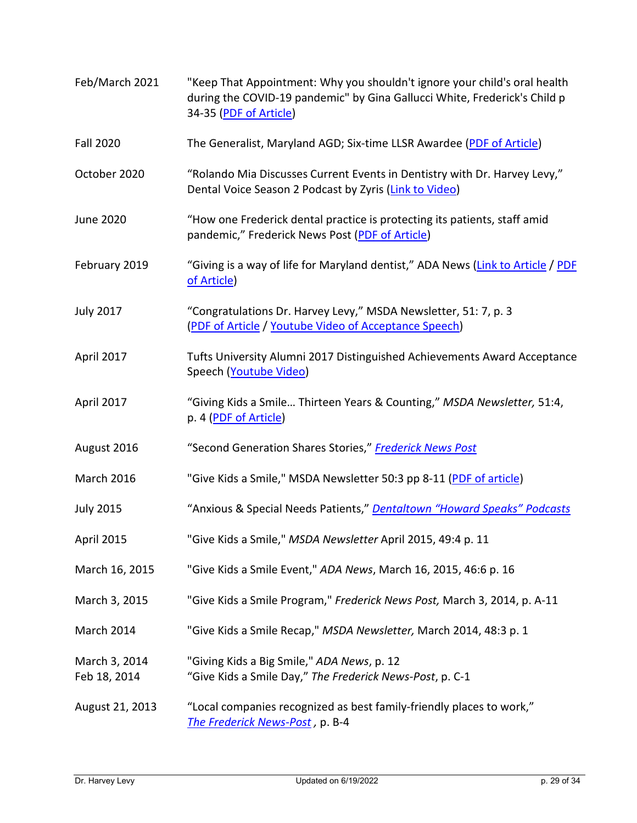| Feb/March 2021                | "Keep That Appointment: Why you shouldn't ignore your child's oral health<br>during the COVID-19 pandemic" by Gina Gallucci White, Frederick's Child p<br>34-35 (PDF of Article) |
|-------------------------------|----------------------------------------------------------------------------------------------------------------------------------------------------------------------------------|
| <b>Fall 2020</b>              | The Generalist, Maryland AGD; Six-time LLSR Awardee (PDF of Article)                                                                                                             |
| October 2020                  | "Rolando Mia Discusses Current Events in Dentistry with Dr. Harvey Levy,"<br>Dental Voice Season 2 Podcast by Zyris (Link to Video)                                              |
| <b>June 2020</b>              | "How one Frederick dental practice is protecting its patients, staff amid<br>pandemic," Frederick News Post (PDF of Article)                                                     |
| February 2019                 | "Giving is a way of life for Maryland dentist," ADA News (Link to Article / PDF<br>of Article)                                                                                   |
| <b>July 2017</b>              | "Congratulations Dr. Harvey Levy," MSDA Newsletter, 51: 7, p. 3<br>(PDF of Article / Youtube Video of Acceptance Speech)                                                         |
| April 2017                    | Tufts University Alumni 2017 Distinguished Achievements Award Acceptance<br>Speech (Youtube Video)                                                                               |
| April 2017                    | "Giving Kids a Smile Thirteen Years & Counting," MSDA Newsletter, 51:4,<br>p. 4 (PDF of Article)                                                                                 |
| August 2016                   | "Second Generation Shares Stories," Frederick News Post                                                                                                                          |
| <b>March 2016</b>             | "Give Kids a Smile," MSDA Newsletter 50:3 pp 8-11 (PDF of article)                                                                                                               |
| <b>July 2015</b>              | "Anxious & Special Needs Patients," Dentaltown "Howard Speaks" Podcasts                                                                                                          |
| April 2015                    | "Give Kids a Smile," MSDA Newsletter April 2015, 49:4 p. 11                                                                                                                      |
| March 16, 2015                | "Give Kids a Smile Event," ADA News, March 16, 2015, 46:6 p. 16                                                                                                                  |
| March 3, 2015                 | "Give Kids a Smile Program," Frederick News Post, March 3, 2014, p. A-11                                                                                                         |
| March 2014                    | "Give Kids a Smile Recap," MSDA Newsletter, March 2014, 48:3 p. 1                                                                                                                |
| March 3, 2014<br>Feb 18, 2014 | "Giving Kids a Big Smile," ADA News, p. 12<br>"Give Kids a Smile Day," The Frederick News-Post, p. C-1                                                                           |
| August 21, 2013               | "Local companies recognized as best family-friendly places to work,"<br>The Frederick News-Post, p. B-4                                                                          |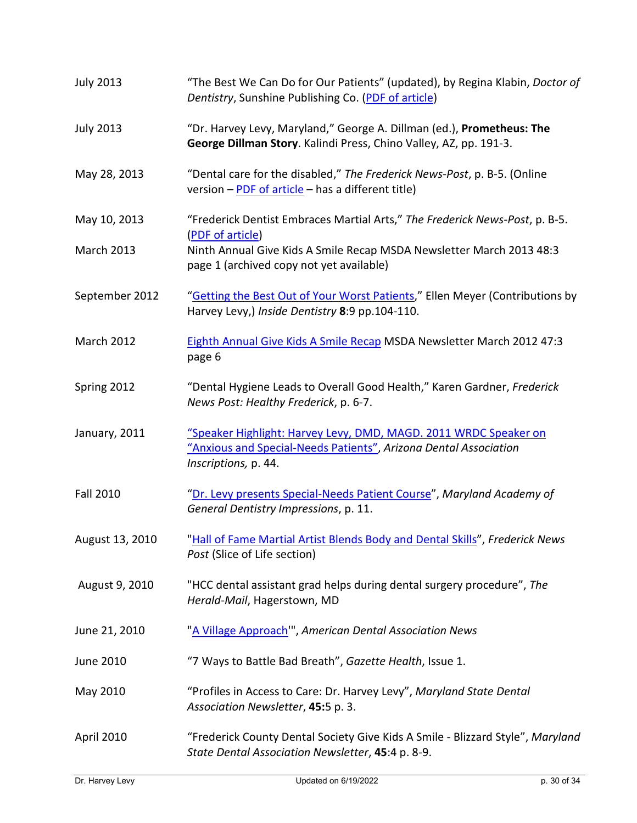| <b>July 2013</b>  | "The Best We Can Do for Our Patients" (updated), by Regina Klabin, Doctor of<br>Dentistry, Sunshine Publishing Co. (PDF of article)                          |
|-------------------|--------------------------------------------------------------------------------------------------------------------------------------------------------------|
| <b>July 2013</b>  | "Dr. Harvey Levy, Maryland," George A. Dillman (ed.), Prometheus: The<br>George Dillman Story. Kalindi Press, Chino Valley, AZ, pp. 191-3.                   |
| May 28, 2013      | "Dental care for the disabled," The Frederick News-Post, p. B-5. (Online<br>version - PDF of article - has a different title)                                |
| May 10, 2013      | "Frederick Dentist Embraces Martial Arts," The Frederick News-Post, p. B-5.<br>(PDF of article)                                                              |
| <b>March 2013</b> | Ninth Annual Give Kids A Smile Recap MSDA Newsletter March 2013 48:3<br>page 1 (archived copy not yet available)                                             |
| September 2012    | "Getting the Best Out of Your Worst Patients," Ellen Meyer (Contributions by<br>Harvey Levy,) Inside Dentistry 8:9 pp.104-110.                               |
| <b>March 2012</b> | Eighth Annual Give Kids A Smile Recap MSDA Newsletter March 2012 47:3<br>page 6                                                                              |
| Spring 2012       | "Dental Hygiene Leads to Overall Good Health," Karen Gardner, Frederick<br>News Post: Healthy Frederick, p. 6-7.                                             |
| January, 2011     | "Speaker Highlight: Harvey Levy, DMD, MAGD. 2011 WRDC Speaker on<br>"Anxious and Special-Needs Patients", Arizona Dental Association<br>Inscriptions, p. 44. |
| <b>Fall 2010</b>  | "Dr. Levy presents Special-Needs Patient Course", Maryland Academy of<br>General Dentistry Impressions, p. 11.                                               |
| August 13, 2010   | "Hall of Fame Martial Artist Blends Body and Dental Skills", Frederick News<br>Post (Slice of Life section)                                                  |
| August 9, 2010    | "HCC dental assistant grad helps during dental surgery procedure", The<br>Herald-Mail, Hagerstown, MD                                                        |
| June 21, 2010     | "A Village Approach", American Dental Association News                                                                                                       |
| June 2010         | "7 Ways to Battle Bad Breath", Gazette Health, Issue 1.                                                                                                      |
| May 2010          | "Profiles in Access to Care: Dr. Harvey Levy", Maryland State Dental<br>Association Newsletter, 45:5 p. 3.                                                   |
| April 2010        | "Frederick County Dental Society Give Kids A Smile - Blizzard Style", Maryland<br>State Dental Association Newsletter, 45:4 p. 8-9.                          |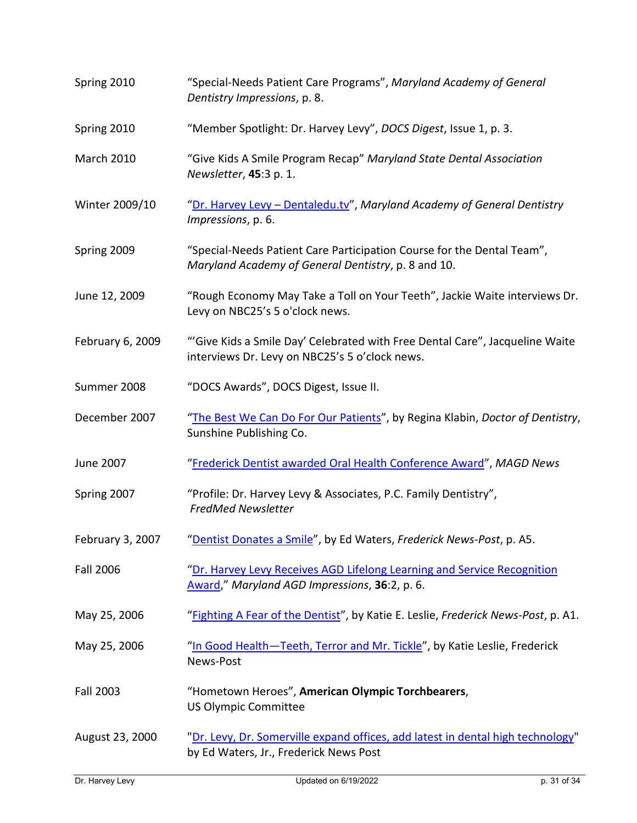| Spring 2010       | "Special-Needs Patient Care Programs", Maryland Academy of General<br>Dentistry Impressions, p. 8.                             |
|-------------------|--------------------------------------------------------------------------------------------------------------------------------|
| Spring 2010       | "Member Spotlight: Dr. Harvey Levy", DOCS Digest, Issue 1, p. 3.                                                               |
| <b>March 2010</b> | "Give Kids A Smile Program Recap" Maryland State Dental Association<br>Newsletter, 45:3 p. 1.                                  |
| Winter 2009/10    | "Dr. Harvey Levy - Dentaledu.tv", Maryland Academy of General Dentistry<br>Impressions, p. 6.                                  |
| Spring 2009       | "Special-Needs Patient Care Participation Course for the Dental Team",<br>Maryland Academy of General Dentistry, p. 8 and 10.  |
| June 12, 2009     | "Rough Economy May Take a Toll on Your Teeth", Jackie Waite interviews Dr.<br>Levy on NBC25's 5 o'clock news.                  |
| February 6, 2009  | "'Give Kids a Smile Day' Celebrated with Free Dental Care", Jacqueline Waite<br>interviews Dr. Levy on NBC25's 5 o'clock news. |
| Summer 2008       | "DOCS Awards", DOCS Digest, Issue II.                                                                                          |
| December 2007     | "The Best We Can Do For Our Patients", by Regina Klabin, Doctor of Dentistry,<br>Sunshine Publishing Co.                       |
| June 2007         | "Frederick Dentist awarded Oral Health Conference Award", MAGD News                                                            |
| Spring 2007       | "Profile: Dr. Harvey Levy & Associates, P.C. Family Dentistry",<br><b>FredMed Newsletter</b>                                   |
| February 3, 2007  | "Dentist Donates a Smile", by Ed Waters, Frederick News-Post, p. A5.                                                           |
| <b>Fall 2006</b>  | "Dr. Harvey Levy Receives AGD Lifelong Learning and Service Recognition<br>Award," Maryland AGD Impressions, 36:2, p. 6.       |
| May 25, 2006      | "Fighting A Fear of the Dentist", by Katie E. Leslie, Frederick News-Post, p. A1.                                              |
| May 25, 2006      | "In Good Health-Teeth, Terror and Mr. Tickle", by Katie Leslie, Frederick<br>News-Post                                         |
| <b>Fall 2003</b>  | "Hometown Heroes", American Olympic Torchbearers,<br><b>US Olympic Committee</b>                                               |
| August 23, 2000   | "Dr. Levy, Dr. Somerville expand offices, add latest in dental high technology"<br>by Ed Waters, Jr., Frederick News Post      |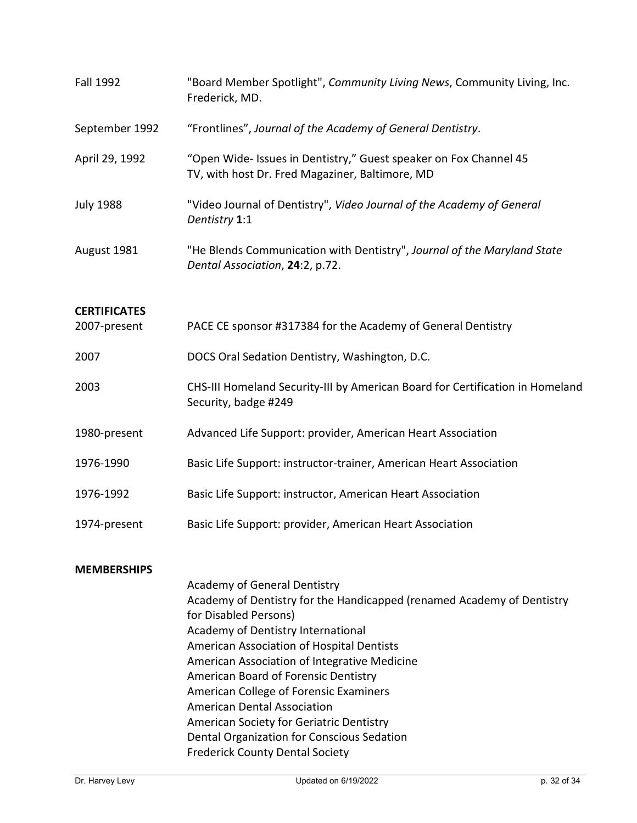| Fall 1992           | "Board Member Spotlight", Community Living News, Community Living, Inc.<br>Frederick, MD.                            |
|---------------------|----------------------------------------------------------------------------------------------------------------------|
| September 1992      | "Frontlines", Journal of the Academy of General Dentistry.                                                           |
| April 29, 1992      | "Open Wide- Issues in Dentistry," Guest speaker on Fox Channel 45<br>TV, with host Dr. Fred Magaziner, Baltimore, MD |
| <b>July 1988</b>    | "Video Journal of Dentistry", Video Journal of the Academy of General<br>Dentistry 1:1                               |
| August 1981         | "He Blends Communication with Dentistry", Journal of the Maryland State<br>Dental Association, 24:2, p.72.           |
| <b>CERTIFICATES</b> |                                                                                                                      |
| 2007-present        | PACE CE sponsor #317384 for the Academy of General Dentistry                                                         |
| 2007                | DOCS Oral Sedation Dentistry, Washington, D.C.                                                                       |
| 2003                | CHS-III Homeland Security-III by American Board for Certification in Homeland<br>Security, badge #249                |
| 1980-present        | Advanced Life Support: provider, American Heart Association                                                          |
| 1976-1990           | Basic Life Support: instructor-trainer, American Heart Association                                                   |
| 1976-1992           | Basic Life Support: instructor, American Heart Association                                                           |
| 1974-present        | Basic Life Support: provider, American Heart Association                                                             |
| <b>MEMBERSHIPS</b>  |                                                                                                                      |
|                     | Academy of General Dentistry                                                                                         |
|                     | Academy of Dentistry for the Handicapped (renamed Academy of Dentistry                                               |
|                     | for Disabled Persons)                                                                                                |
|                     | Academy of Dentistry International                                                                                   |
|                     | American Association of Hospital Dentists                                                                            |
|                     | American Association of Integrative Medicine                                                                         |
|                     | American Board of Forensic Dentistry                                                                                 |
|                     | American College of Forensic Examiners                                                                               |
|                     | <b>American Dental Association</b>                                                                                   |
|                     | American Society for Geriatric Dentistry                                                                             |
|                     | Dental Organization for Conscious Sedation<br><b>Frederick County Dental Society</b>                                 |
|                     |                                                                                                                      |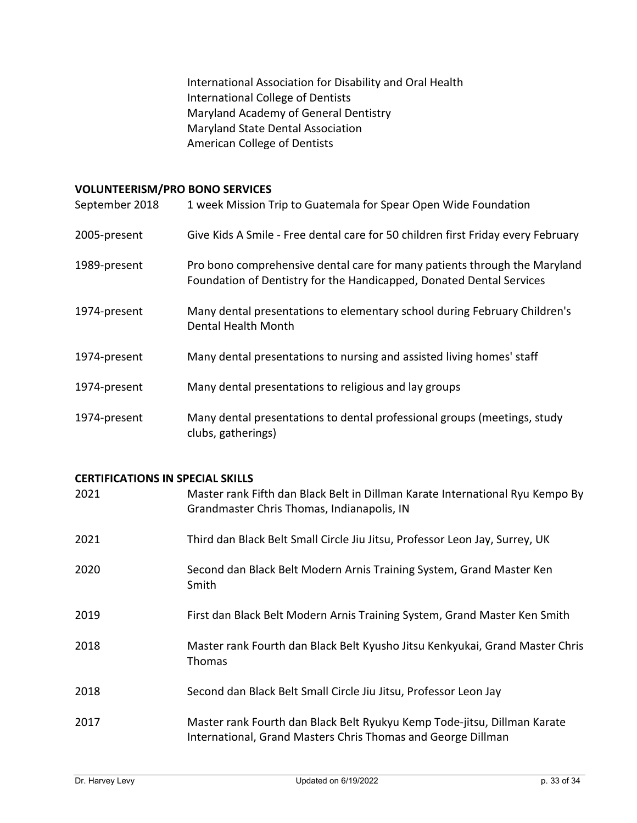International Association for Disability and Oral Health International College of Dentists Maryland Academy of General Dentistry Maryland State Dental Association American College of Dentists

### **VOLUNTEERISM/PRO BONO SERVICES**

| September 2018 | 1 week Mission Trip to Guatemala for Spear Open Wide Foundation                                                                                   |
|----------------|---------------------------------------------------------------------------------------------------------------------------------------------------|
| 2005-present   | Give Kids A Smile - Free dental care for 50 children first Friday every February                                                                  |
| 1989-present   | Pro bono comprehensive dental care for many patients through the Maryland<br>Foundation of Dentistry for the Handicapped, Donated Dental Services |
| 1974-present   | Many dental presentations to elementary school during February Children's<br>Dental Health Month                                                  |
| 1974-present   | Many dental presentations to nursing and assisted living homes' staff                                                                             |
| 1974-present   | Many dental presentations to religious and lay groups                                                                                             |
| 1974-present   | Many dental presentations to dental professional groups (meetings, study<br>clubs, gatherings)                                                    |

#### **CERTIFICATIONS IN SPECIAL SKILLS**

| 2021 | Master rank Fifth dan Black Belt in Dillman Karate International Ryu Kempo By<br>Grandmaster Chris Thomas, Indianapolis, IN              |
|------|------------------------------------------------------------------------------------------------------------------------------------------|
| 2021 | Third dan Black Belt Small Circle Jiu Jitsu, Professor Leon Jay, Surrey, UK                                                              |
| 2020 | Second dan Black Belt Modern Arnis Training System, Grand Master Ken<br>Smith                                                            |
| 2019 | First dan Black Belt Modern Arnis Training System, Grand Master Ken Smith                                                                |
| 2018 | Master rank Fourth dan Black Belt Kyusho Jitsu Kenkyukai, Grand Master Chris<br><b>Thomas</b>                                            |
| 2018 | Second dan Black Belt Small Circle Jiu Jitsu, Professor Leon Jay                                                                         |
| 2017 | Master rank Fourth dan Black Belt Ryukyu Kemp Tode-jitsu, Dillman Karate<br>International, Grand Masters Chris Thomas and George Dillman |